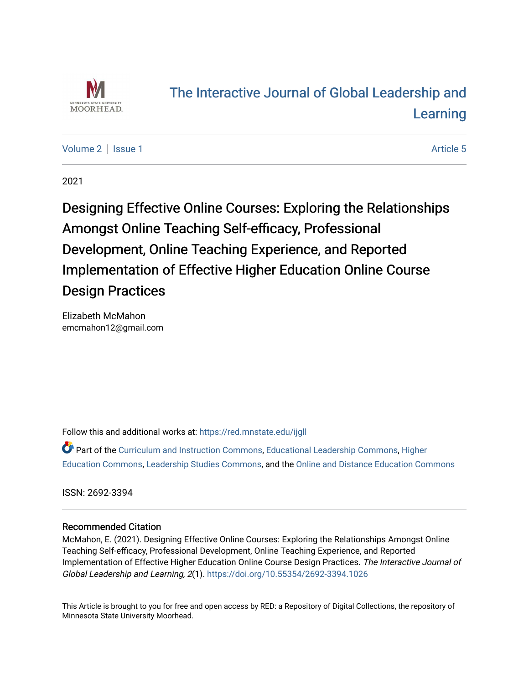

# [The Interactive Journal of Global Leadership and](https://red.mnstate.edu/ijgll)  [Learning](https://red.mnstate.edu/ijgll)

[Volume 2](https://red.mnstate.edu/ijgll/vol2) | [Issue 1](https://red.mnstate.edu/ijgll/vol2/iss1) Article 5

2021

Designing Effective Online Courses: Exploring the Relationships Amongst Online Teaching Self-efficacy, Professional Development, Online Teaching Experience, and Reported Implementation of Effective Higher Education Online Course Design Practices

Elizabeth McMahon emcmahon12@gmail.com

Follow this and additional works at: [https://red.mnstate.edu/ijgll](https://red.mnstate.edu/ijgll?utm_source=red.mnstate.edu%2Fijgll%2Fvol2%2Fiss1%2F5&utm_medium=PDF&utm_campaign=PDFCoverPages)

Part of the [Curriculum and Instruction Commons,](http://network.bepress.com/hgg/discipline/786?utm_source=red.mnstate.edu%2Fijgll%2Fvol2%2Fiss1%2F5&utm_medium=PDF&utm_campaign=PDFCoverPages) [Educational Leadership Commons,](http://network.bepress.com/hgg/discipline/1230?utm_source=red.mnstate.edu%2Fijgll%2Fvol2%2Fiss1%2F5&utm_medium=PDF&utm_campaign=PDFCoverPages) [Higher](http://network.bepress.com/hgg/discipline/1245?utm_source=red.mnstate.edu%2Fijgll%2Fvol2%2Fiss1%2F5&utm_medium=PDF&utm_campaign=PDFCoverPages) [Education Commons,](http://network.bepress.com/hgg/discipline/1245?utm_source=red.mnstate.edu%2Fijgll%2Fvol2%2Fiss1%2F5&utm_medium=PDF&utm_campaign=PDFCoverPages) [Leadership Studies Commons,](http://network.bepress.com/hgg/discipline/1250?utm_source=red.mnstate.edu%2Fijgll%2Fvol2%2Fiss1%2F5&utm_medium=PDF&utm_campaign=PDFCoverPages) and the [Online and Distance Education Commons](http://network.bepress.com/hgg/discipline/1296?utm_source=red.mnstate.edu%2Fijgll%2Fvol2%2Fiss1%2F5&utm_medium=PDF&utm_campaign=PDFCoverPages) 

ISSN: 2692-3394

# Recommended Citation

McMahon, E. (2021). Designing Effective Online Courses: Exploring the Relationships Amongst Online Teaching Self-efficacy, Professional Development, Online Teaching Experience, and Reported Implementation of Effective Higher Education Online Course Design Practices. The Interactive Journal of Global Leadership and Learning, 2(1). <https://doi.org/10.55354/2692-3394.1026>

This Article is brought to you for free and open access by RED: a Repository of Digital Collections, the repository of Minnesota State University Moorhead.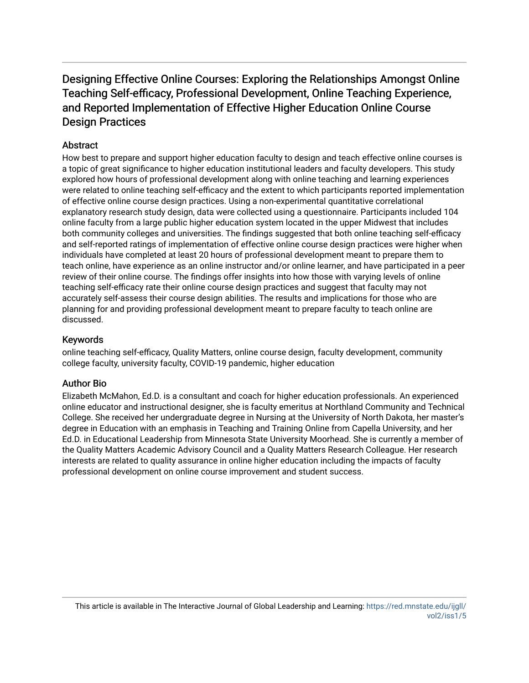# Designing Effective Online Courses: Exploring the Relationships Amongst Online Teaching Self-efficacy, Professional Development, Online Teaching Experience, and Reported Implementation of Effective Higher Education Online Course Design Practices

# **Abstract**

How best to prepare and support higher education faculty to design and teach effective online courses is a topic of great significance to higher education institutional leaders and faculty developers. This study explored how hours of professional development along with online teaching and learning experiences were related to online teaching self-efficacy and the extent to which participants reported implementation of effective online course design practices. Using a non-experimental quantitative correlational explanatory research study design, data were collected using a questionnaire. Participants included 104 online faculty from a large public higher education system located in the upper Midwest that includes both community colleges and universities. The findings suggested that both online teaching self-efficacy and self-reported ratings of implementation of effective online course design practices were higher when individuals have completed at least 20 hours of professional development meant to prepare them to teach online, have experience as an online instructor and/or online learner, and have participated in a peer review of their online course. The findings offer insights into how those with varying levels of online teaching self-efficacy rate their online course design practices and suggest that faculty may not accurately self-assess their course design abilities. The results and implications for those who are planning for and providing professional development meant to prepare faculty to teach online are discussed.

# Keywords

online teaching self-efficacy, Quality Matters, online course design, faculty development, community college faculty, university faculty, COVID-19 pandemic, higher education

# Author Bio

Elizabeth McMahon, Ed.D. is a consultant and coach for higher education professionals. An experienced online educator and instructional designer, she is faculty emeritus at Northland Community and Technical College. She received her undergraduate degree in Nursing at the University of North Dakota, her master's degree in Education with an emphasis in Teaching and Training Online from Capella University, and her Ed.D. in Educational Leadership from Minnesota State University Moorhead. She is currently a member of the Quality Matters Academic Advisory Council and a Quality Matters Research Colleague. Her research interests are related to quality assurance in online higher education including the impacts of faculty professional development on online course improvement and student success.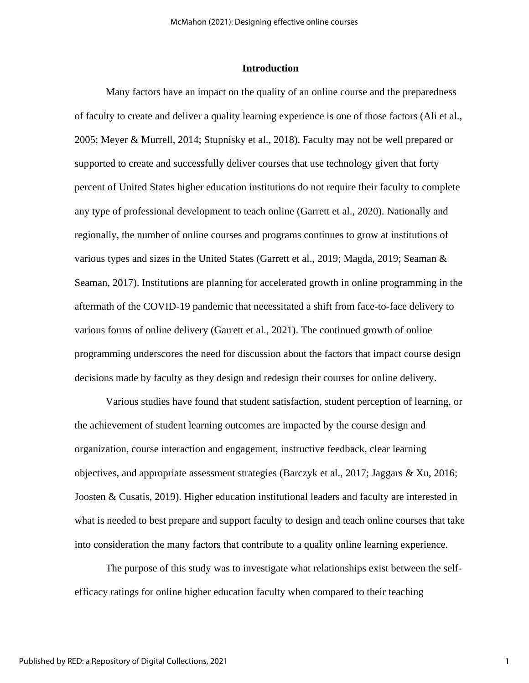### **Introduction**

Many factors have an impact on the quality of an online course and the preparedness of faculty to create and deliver a quality learning experience is one of those factors (Ali et al., 2005; Meyer & Murrell, 2014; Stupnisky et al., 2018). Faculty may not be well prepared or supported to create and successfully deliver courses that use technology given that forty percent of United States higher education institutions do not require their faculty to complete any type of professional development to teach online (Garrett et al., 2020). Nationally and regionally, the number of online courses and programs continues to grow at institutions of various types and sizes in the United States (Garrett et al., 2019; Magda, 2019; Seaman & Seaman, 2017). Institutions are planning for accelerated growth in online programming in the aftermath of the COVID-19 pandemic that necessitated a shift from face-to-face delivery to various forms of online delivery (Garrett et al., 2021). The continued growth of online programming underscores the need for discussion about the factors that impact course design decisions made by faculty as they design and redesign their courses for online delivery.

Various studies have found that student satisfaction, student perception of learning, or the achievement of student learning outcomes are impacted by the course design and organization, course interaction and engagement, instructive feedback, clear learning objectives, and appropriate assessment strategies (Barczyk et al., 2017; Jaggars & Xu, 2016; Joosten & Cusatis, 2019). Higher education institutional leaders and faculty are interested in what is needed to best prepare and support faculty to design and teach online courses that take into consideration the many factors that contribute to a quality online learning experience.

The purpose of this study was to investigate what relationships exist between the selfefficacy ratings for online higher education faculty when compared to their teaching

1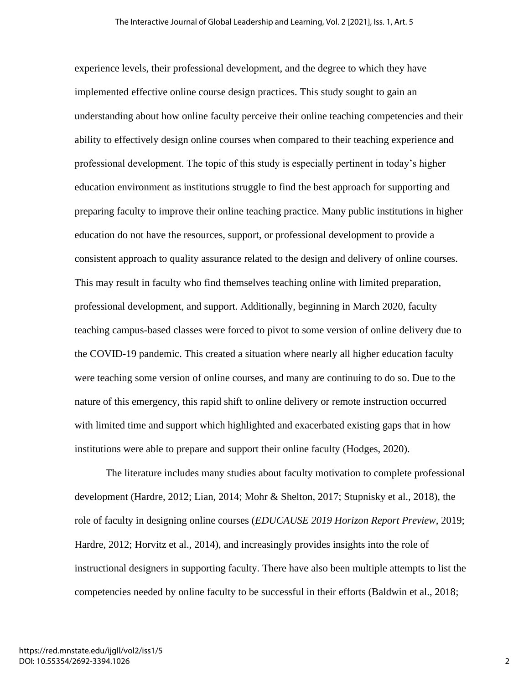experience levels, their professional development, and the degree to which they have implemented effective online course design practices. This study sought to gain an understanding about how online faculty perceive their online teaching competencies and their ability to effectively design online courses when compared to their teaching experience and professional development. The topic of this study is especially pertinent in today's higher education environment as institutions struggle to find the best approach for supporting and preparing faculty to improve their online teaching practice. Many public institutions in higher education do not have the resources, support, or professional development to provide a consistent approach to quality assurance related to the design and delivery of online courses. This may result in faculty who find themselves teaching online with limited preparation, professional development, and support. Additionally, beginning in March 2020, faculty teaching campus-based classes were forced to pivot to some version of online delivery due to the COVID-19 pandemic. This created a situation where nearly all higher education faculty were teaching some version of online courses, and many are continuing to do so. Due to the nature of this emergency, this rapid shift to online delivery or remote instruction occurred with limited time and support which highlighted and exacerbated existing gaps that in how institutions were able to prepare and support their online faculty (Hodges, 2020).

The literature includes many studies about faculty motivation to complete professional development (Hardre, 2012; Lian, 2014; Mohr & Shelton, 2017; Stupnisky et al., 2018), the role of faculty in designing online courses (*EDUCAUSE 2019 Horizon Report Preview*, 2019; Hardre, 2012; Horvitz et al., 2014), and increasingly provides insights into the role of instructional designers in supporting faculty. There have also been multiple attempts to list the competencies needed by online faculty to be successful in their efforts (Baldwin et al., 2018;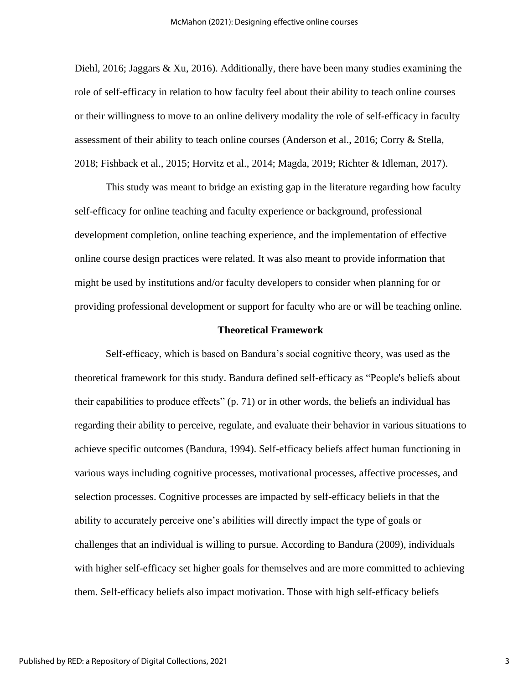Diehl, 2016; Jaggars & Xu, 2016). Additionally, there have been many studies examining the role of self-efficacy in relation to how faculty feel about their ability to teach online courses or their willingness to move to an online delivery modality the role of self-efficacy in faculty assessment of their ability to teach online courses (Anderson et al., 2016; Corry & Stella, 2018; Fishback et al., 2015; Horvitz et al., 2014; Magda, 2019; Richter & Idleman, 2017).

This study was meant to bridge an existing gap in the literature regarding how faculty self-efficacy for online teaching and faculty experience or background, professional development completion, online teaching experience, and the implementation of effective online course design practices were related. It was also meant to provide information that might be used by institutions and/or faculty developers to consider when planning for or providing professional development or support for faculty who are or will be teaching online.

### **Theoretical Framework**

Self-efficacy, which is based on Bandura's social cognitive theory, was used as the theoretical framework for this study. Bandura defined self-efficacy as "People's beliefs about their capabilities to produce effects" (p. 71) or in other words, the beliefs an individual has regarding their ability to perceive, regulate, and evaluate their behavior in various situations to achieve specific outcomes (Bandura, 1994). Self-efficacy beliefs affect human functioning in various ways including cognitive processes, motivational processes, affective processes, and selection processes. Cognitive processes are impacted by self-efficacy beliefs in that the ability to accurately perceive one's abilities will directly impact the type of goals or challenges that an individual is willing to pursue. According to Bandura (2009), individuals with higher self-efficacy set higher goals for themselves and are more committed to achieving them. Self-efficacy beliefs also impact motivation. Those with high self-efficacy beliefs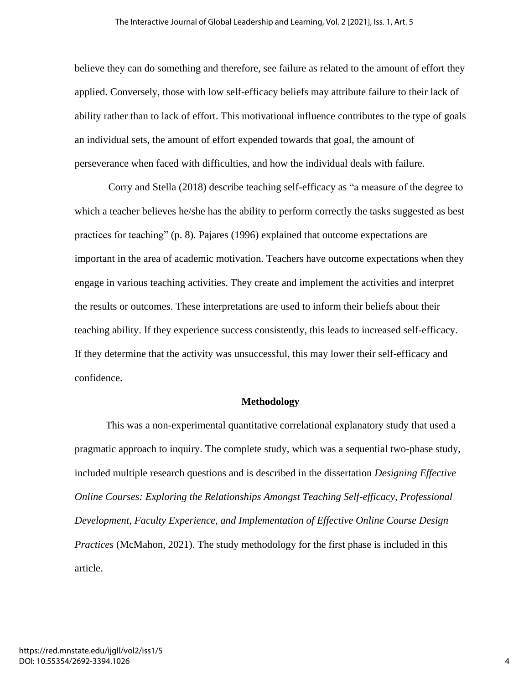believe they can do something and therefore, see failure as related to the amount of effort they applied. Conversely, those with low self-efficacy beliefs may attribute failure to their lack of ability rather than to lack of effort. This motivational influence contributes to the type of goals an individual sets, the amount of effort expended towards that goal, the amount of perseverance when faced with difficulties, and how the individual deals with failure.

Corry and Stella (2018) describe teaching self-efficacy as "a measure of the degree to which a teacher believes he/she has the ability to perform correctly the tasks suggested as best practices for teaching" (p. 8). Pajares (1996) explained that outcome expectations are important in the area of academic motivation. Teachers have outcome expectations when they engage in various teaching activities. They create and implement the activities and interpret the results or outcomes. These interpretations are used to inform their beliefs about their teaching ability. If they experience success consistently, this leads to increased self-efficacy. If they determine that the activity was unsuccessful, this may lower their self-efficacy and confidence.

### **Methodology**

This was a non-experimental quantitative correlational explanatory study that used a pragmatic approach to inquiry. The complete study, which was a sequential two-phase study, included multiple research questions and is described in the dissertation *Designing Effective Online Courses: Exploring the Relationships Amongst Teaching Self-efficacy, Professional Development, Faculty Experience, and Implementation of Effective Online Course Design Practices* (McMahon, 2021). The study methodology for the first phase is included in this article.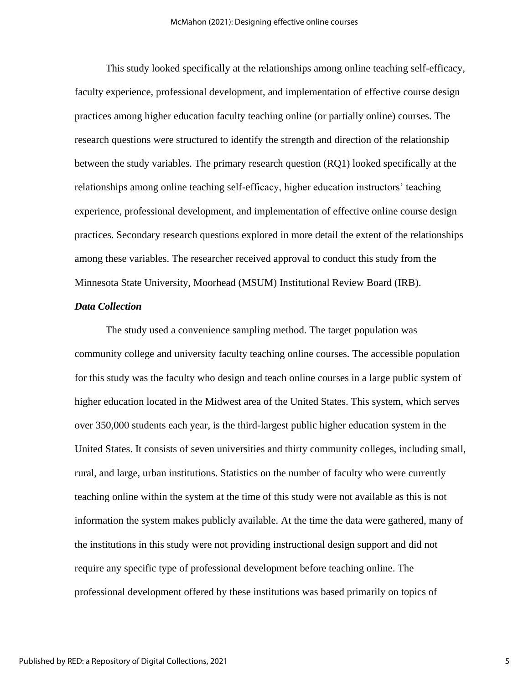This study looked specifically at the relationships among online teaching self-efficacy, faculty experience, professional development, and implementation of effective course design practices among higher education faculty teaching online (or partially online) courses. The research questions were structured to identify the strength and direction of the relationship between the study variables. The primary research question (RQ1) looked specifically at the relationships among online teaching self-efficacy, higher education instructors' teaching experience, professional development, and implementation of effective online course design practices. Secondary research questions explored in more detail the extent of the relationships among these variables. The researcher received approval to conduct this study from the Minnesota State University, Moorhead (MSUM) Institutional Review Board (IRB).

#### *Data Collection*

The study used a convenience sampling method. The target population was community college and university faculty teaching online courses. The accessible population for this study was the faculty who design and teach online courses in a large public system of higher education located in the Midwest area of the United States. This system, which serves over 350,000 students each year, is the third-largest public higher education system in the United States. It consists of seven universities and thirty community colleges, including small, rural, and large, urban institutions. Statistics on the number of faculty who were currently teaching online within the system at the time of this study were not available as this is not information the system makes publicly available. At the time the data were gathered, many of the institutions in this study were not providing instructional design support and did not require any specific type of professional development before teaching online. The professional development offered by these institutions was based primarily on topics of

5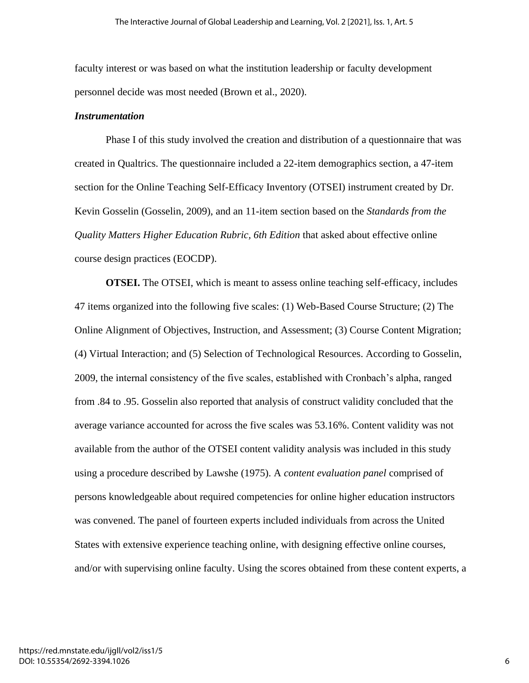faculty interest or was based on what the institution leadership or faculty development personnel decide was most needed (Brown et al., 2020).

#### *Instrumentation*

Phase I of this study involved the creation and distribution of a questionnaire that was created in Qualtrics. The questionnaire included a 22-item demographics section, a 47-item section for the Online Teaching Self-Efficacy Inventory (OTSEI) instrument created by Dr. Kevin Gosselin (Gosselin, 2009), and an 11-item section based on the *Standards from the Quality Matters Higher Education Rubric, 6th Edition* that asked about effective online course design practices (EOCDP).

**OTSEI.** The OTSEI, which is meant to assess online teaching self-efficacy, includes 47 items organized into the following five scales: (1) Web-Based Course Structure; (2) The Online Alignment of Objectives, Instruction, and Assessment; (3) Course Content Migration; (4) Virtual Interaction; and (5) Selection of Technological Resources. According to Gosselin, 2009, the internal consistency of the five scales, established with Cronbach's alpha, ranged from .84 to .95. Gosselin also reported that analysis of construct validity concluded that the average variance accounted for across the five scales was 53.16%. Content validity was not available from the author of the OTSEI content validity analysis was included in this study using a procedure described by Lawshe (1975). A *content evaluation panel* comprised of persons knowledgeable about required competencies for online higher education instructors was convened. The panel of fourteen experts included individuals from across the United States with extensive experience teaching online, with designing effective online courses, and/or with supervising online faculty. Using the scores obtained from these content experts, a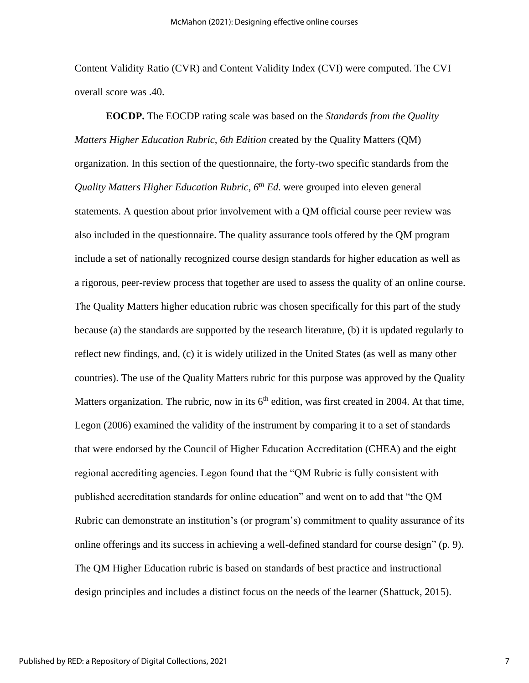Content Validity Ratio (CVR) and Content Validity Index (CVI) were computed. The CVI overall score was .40.

**EOCDP.** The EOCDP rating scale was based on the *Standards from the Quality Matters Higher Education Rubric, 6th Edition* created by the Quality Matters (QM) organization. In this section of the questionnaire, the forty-two specific standards from the *Quality Matters Higher Education Rubric, 6th Ed.* were grouped into eleven general statements. A question about prior involvement with a QM official course peer review was also included in the questionnaire. The quality assurance tools offered by the QM program include a set of nationally recognized course design standards for higher education as well as a rigorous, peer-review process that together are used to assess the quality of an online course. The Quality Matters higher education rubric was chosen specifically for this part of the study because (a) the standards are supported by the research literature, (b) it is updated regularly to reflect new findings, and, (c) it is widely utilized in the United States (as well as many other countries). The use of the Quality Matters rubric for this purpose was approved by the Quality Matters organization. The rubric, now in its  $6<sup>th</sup>$  edition, was first created in 2004. At that time, Legon (2006) examined the validity of the instrument by comparing it to a set of standards that were endorsed by the Council of Higher Education Accreditation (CHEA) and the eight regional accrediting agencies. Legon found that the "QM Rubric is fully consistent with published accreditation standards for online education" and went on to add that "the QM Rubric can demonstrate an institution's (or program's) commitment to quality assurance of its online offerings and its success in achieving a well-defined standard for course design" (p. 9). The QM Higher Education rubric is based on standards of best practice and instructional design principles and includes a distinct focus on the needs of the learner (Shattuck, 2015).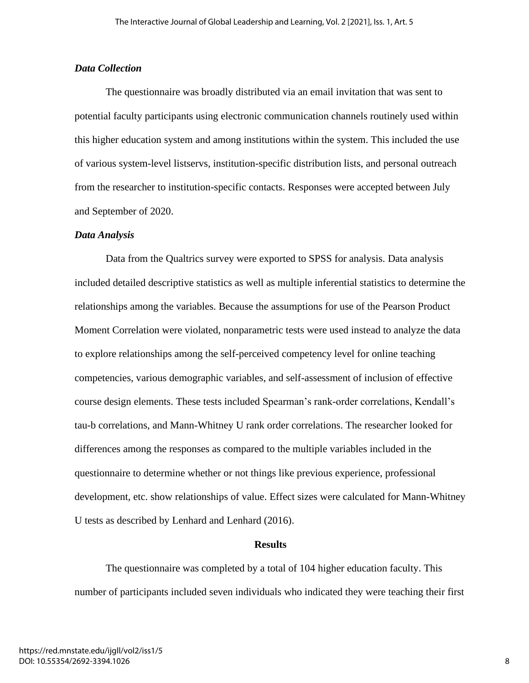### *Data Collection*

The questionnaire was broadly distributed via an email invitation that was sent to potential faculty participants using electronic communication channels routinely used within this higher education system and among institutions within the system. This included the use of various system-level listservs, institution-specific distribution lists, and personal outreach from the researcher to institution-specific contacts. Responses were accepted between July and September of 2020.

### *Data Analysis*

Data from the Qualtrics survey were exported to SPSS for analysis. Data analysis included detailed descriptive statistics as well as multiple inferential statistics to determine the relationships among the variables. Because the assumptions for use of the Pearson Product Moment Correlation were violated, nonparametric tests were used instead to analyze the data to explore relationships among the self-perceived competency level for online teaching competencies, various demographic variables, and self-assessment of inclusion of effective course design elements. These tests included Spearman's rank-order correlations, Kendall's tau-b correlations, and Mann-Whitney U rank order correlations. The researcher looked for differences among the responses as compared to the multiple variables included in the questionnaire to determine whether or not things like previous experience, professional development, etc. show relationships of value. Effect sizes were calculated for Mann-Whitney U tests as described by Lenhard and Lenhard (2016).

#### **Results**

The questionnaire was completed by a total of 104 higher education faculty. This number of participants included seven individuals who indicated they were teaching their first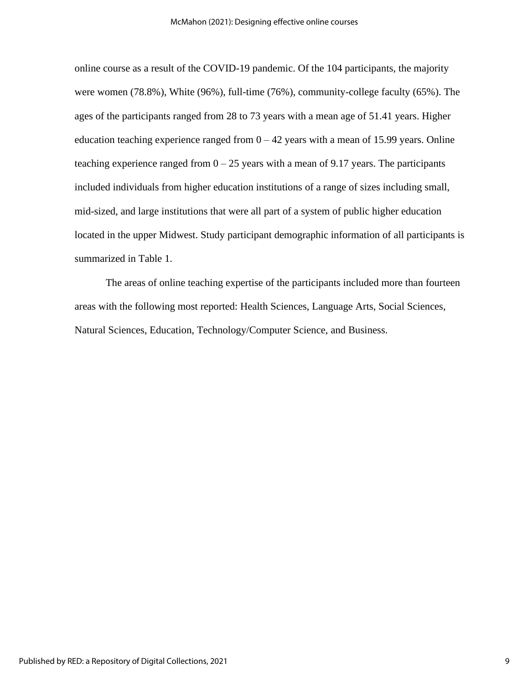online course as a result of the COVID-19 pandemic. Of the 104 participants, the majority were women (78.8%), White (96%), full-time (76%), community-college faculty (65%). The ages of the participants ranged from 28 to 73 years with a mean age of 51.41 years. Higher education teaching experience ranged from  $0 - 42$  years with a mean of 15.99 years. Online teaching experience ranged from  $0 - 25$  years with a mean of 9.17 years. The participants included individuals from higher education institutions of a range of sizes including small, mid-sized, and large institutions that were all part of a system of public higher education located in the upper Midwest. Study participant demographic information of all participants is summarized in Table 1.

The areas of online teaching expertise of the participants included more than fourteen areas with the following most reported: Health Sciences, Language Arts, Social Sciences, Natural Sciences, Education, Technology/Computer Science, and Business.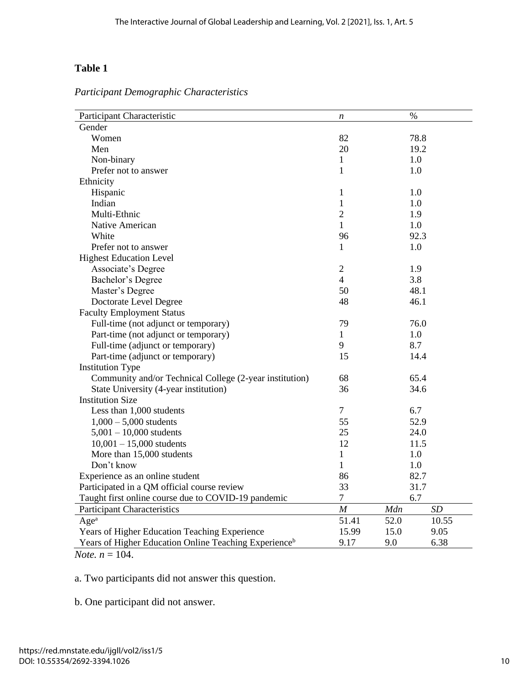# Table 1

| Participant Characteristic                                        | n              | $\%$ |       |
|-------------------------------------------------------------------|----------------|------|-------|
| Gender                                                            |                |      |       |
| Women                                                             | 82             | 78.8 |       |
| Men                                                               | 20             | 19.2 |       |
| Non-binary                                                        | $\mathbf{1}$   | 1.0  |       |
| Prefer not to answer                                              | $\mathbf{1}$   | 1.0  |       |
| Ethnicity                                                         |                |      |       |
| Hispanic                                                          | 1              | 1.0  |       |
| Indian                                                            | $\mathbf{1}$   | 1.0  |       |
| Multi-Ethnic                                                      | $\overline{2}$ | 1.9  |       |
| Native American                                                   | $\mathbf{1}$   | 1.0  |       |
| White                                                             | 96             | 92.3 |       |
| Prefer not to answer                                              | 1              | 1.0  |       |
| <b>Highest Education Level</b>                                    |                |      |       |
| Associate's Degree                                                | $\mathfrak{2}$ | 1.9  |       |
| Bachelor's Degree                                                 | $\overline{4}$ | 3.8  |       |
| Master's Degree                                                   | 50             | 48.1 |       |
| Doctorate Level Degree                                            | 48             | 46.1 |       |
| <b>Faculty Employment Status</b>                                  |                |      |       |
| Full-time (not adjunct or temporary)                              | 79             | 76.0 |       |
| Part-time (not adjunct or temporary)                              | $\mathbf{1}$   | 1.0  |       |
| Full-time (adjunct or temporary)                                  | 9              | 8.7  |       |
| Part-time (adjunct or temporary)                                  | 15             | 14.4 |       |
| <b>Institution Type</b>                                           |                |      |       |
| Community and/or Technical College (2-year institution)           | 68             | 65.4 |       |
| State University (4-year institution)                             | 36             | 34.6 |       |
| <b>Institution Size</b>                                           |                |      |       |
| Less than 1,000 students                                          | $\tau$         | 6.7  |       |
| $1,000 - 5,000$ students                                          | 55             | 52.9 |       |
| $5,001 - 10,000$ students                                         | 25             | 24.0 |       |
| $10,001 - 15,000$ students                                        | 12             | 11.5 |       |
| More than 15,000 students                                         | 1              | 1.0  |       |
| Don't know                                                        | 1              | 1.0  |       |
| Experience as an online student                                   | 86             | 82.7 |       |
| Participated in a QM official course review                       | 33             | 31.7 |       |
| Taught first online course due to COVID-19 pandemic               | $\tau$         | 6.7  |       |
| <b>Participant Characteristics</b>                                | M              | Mdn  | SD    |
| Age <sup>a</sup>                                                  | 51.41          | 52.0 | 10.55 |
| Years of Higher Education Teaching Experience                     | 15.99          | 15.0 | 9.05  |
| Years of Higher Education Online Teaching Experience <sup>b</sup> | 9.17           | 9.0  | 6.38  |

*Participant Demographic Characteristics*

*Note. n* = 104.

a. Two participants did not answer this question.

b. One participant did not answer.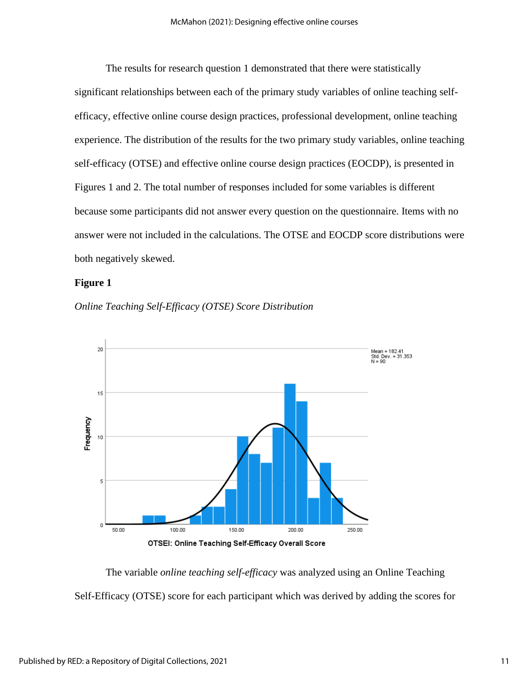The results for research question 1 demonstrated that there were statistically significant relationships between each of the primary study variables of online teaching selfefficacy, effective online course design practices, professional development, online teaching experience. The distribution of the results for the two primary study variables, online teaching self-efficacy (OTSE) and effective online course design practices (EOCDP), is presented in Figures 1 and 2. The total number of responses included for some variables is different because some participants did not answer every question on the questionnaire. Items with no answer were not included in the calculations. The OTSE and EOCDP score distributions were both negatively skewed.

### **Figure 1**





The variable *online teaching self-efficacy* was analyzed using an Online Teaching Self-Efficacy (OTSE) score for each participant which was derived by adding the scores for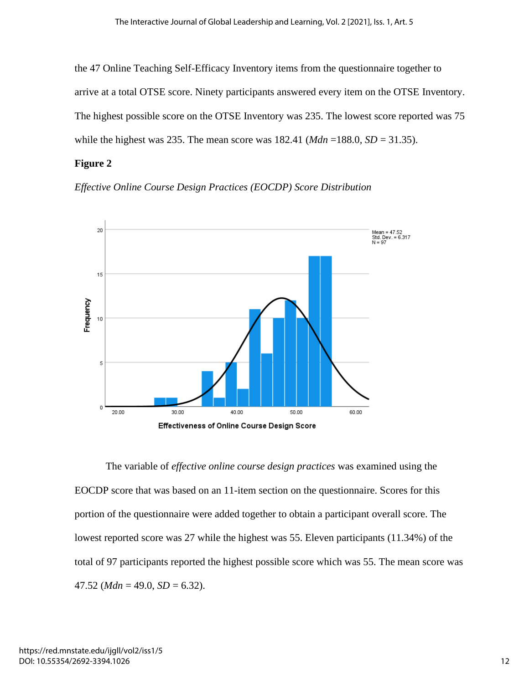the 47 Online Teaching Self-Efficacy Inventory items from the questionnaire together to arrive at a total OTSE score. Ninety participants answered every item on the OTSE Inventory. The highest possible score on the OTSE Inventory was 235. The lowest score reported was 75 while the highest was 235. The mean score was 182.41 (*Mdn* =188.0*, SD* = 31.35).

### **Figure 2.**

*Effective Online Course Design Practices (EOCDP) Score Distribution*



The variable of *effective online course design practices* was examined using the EOCDP score that was based on an 11-item section on the questionnaire. Scores for this portion of the questionnaire were added together to obtain a participant overall score. The lowest reported score was 27 while the highest was 55. Eleven participants (11.34%) of the total of 97 participants reported the highest possible score which was 55. The mean score was  $47.52$  (*Mdn* = 49.0, *SD* = 6.32).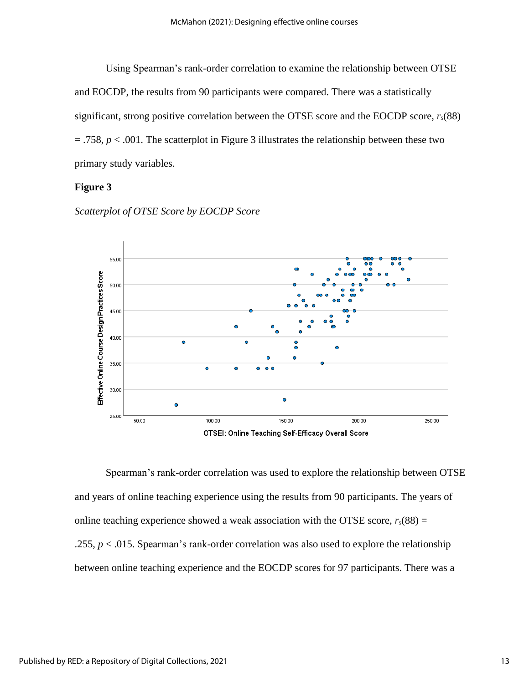Using Spearman's rank-order correlation to examine the relationship between OTSE and EOCDP, the results from 90 participants were compared. There was a statistically significant, strong positive correlation between the OTSE score and the EOCDP score, *rs*(88)  $= .758$ ,  $p < .001$ . The scatterplot in Figure 3 illustrates the relationship between these two primary study variables.

### **Figure 3**



*Scatterplot of OTSE Score by EOCDP Score*

Spearman's rank-order correlation was used to explore the relationship between OTSE and years of online teaching experience using the results from 90 participants. The years of online teaching experience showed a weak association with the OTSE score,  $r_s(88) =$ .255, *p* < .015. Spearman's rank-order correlation was also used to explore the relationship between online teaching experience and the EOCDP scores for 97 participants. There was a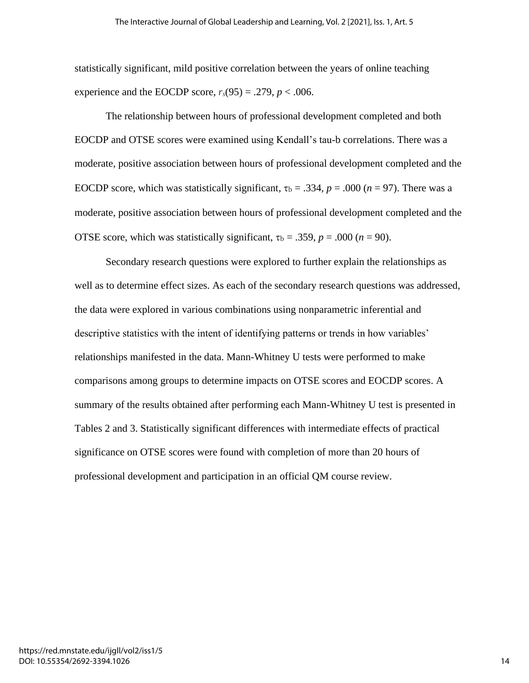statistically significant, mild positive correlation between the years of online teaching experience and the EOCDP score,  $r_s(95) = .279$ ,  $p < .006$ .

The relationship between hours of professional development completed and both EOCDP and OTSE scores were examined using Kendall's tau-b correlations. There was a moderate, positive association between hours of professional development completed and the EOCDP score, which was statistically significant,  $\tau_b = .334$ ,  $p = .000$  ( $n = 97$ ). There was a moderate, positive association between hours of professional development completed and the OTSE score, which was statistically significant,  $\tau_b = .359$ ,  $p = .000$  ( $n = 90$ ).

Secondary research questions were explored to further explain the relationships as well as to determine effect sizes. As each of the secondary research questions was addressed, the data were explored in various combinations using nonparametric inferential and descriptive statistics with the intent of identifying patterns or trends in how variables' relationships manifested in the data. Mann-Whitney U tests were performed to make comparisons among groups to determine impacts on OTSE scores and EOCDP scores. A summary of the results obtained after performing each Mann-Whitney U test is presented in Tables 2 and 3. Statistically significant differences with intermediate effects of practical significance on OTSE scores were found with completion of more than 20 hours of professional development and participation in an official QM course review.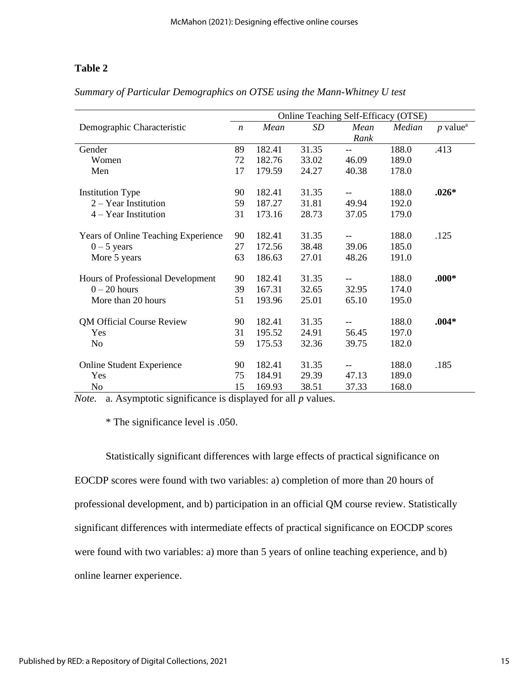# **Table 2.**

|                                            | Online Teaching Self-Efficacy (OTSE) |        |       |       |        |                        |
|--------------------------------------------|--------------------------------------|--------|-------|-------|--------|------------------------|
| Demographic Characteristic                 | $\boldsymbol{n}$                     | Mean   | SD    | Mean  | Median | $p$ value <sup>a</sup> |
|                                            |                                      |        |       | Rank  |        |                        |
| Gender                                     | 89                                   | 182.41 | 31.35 | $-$   | 188.0  | .413                   |
| Women                                      | 72                                   | 182.76 | 33.02 | 46.09 | 189.0  |                        |
| Men                                        | 17                                   | 179.59 | 24.27 | 40.38 | 178.0  |                        |
|                                            |                                      |        |       |       |        |                        |
| <b>Institution Type</b>                    | 90                                   | 182.41 | 31.35 |       | 188.0  | $.026*$                |
| $2 - Year$ Institution                     | 59                                   | 187.27 | 31.81 | 49.94 | 192.0  |                        |
| $4 - Year$ Institution                     | 31                                   | 173.16 | 28.73 | 37.05 | 179.0  |                        |
|                                            |                                      |        |       |       |        |                        |
| <b>Years of Online Teaching Experience</b> | 90                                   | 182.41 | 31.35 |       | 188.0  | .125                   |
| $0 - 5$ years                              | 27                                   | 172.56 | 38.48 | 39.06 | 185.0  |                        |
| More 5 years                               | 63                                   | 186.63 | 27.01 | 48.26 | 191.0  |                        |
|                                            |                                      |        |       |       |        |                        |
| Hours of Professional Development          | 90                                   | 182.41 | 31.35 |       | 188.0  | $.000*$                |
| $0 - 20$ hours                             | 39                                   | 167.31 | 32.65 | 32.95 | 174.0  |                        |
| More than 20 hours                         | 51                                   | 193.96 | 25.01 | 65.10 | 195.0  |                        |
|                                            |                                      |        |       |       |        |                        |
| <b>QM Official Course Review</b>           | 90                                   | 182.41 | 31.35 |       | 188.0  | $.004*$                |
| Yes                                        | 31                                   | 195.52 | 24.91 | 56.45 | 197.0  |                        |
| No                                         | 59                                   | 175.53 | 32.36 | 39.75 | 182.0  |                        |
|                                            |                                      |        |       |       |        |                        |
| <b>Online Student Experience</b>           | 90                                   | 182.41 | 31.35 |       | 188.0  | .185                   |
| Yes                                        | 75                                   | 184.91 | 29.39 | 47.13 | 189.0  |                        |
| No                                         | 15                                   | 169.93 | 38.51 | 37.33 | 168.0  |                        |

*Summary of Particular Demographics on OTSE using the Mann-Whitney U test*

*Note.* a. Asymptotic significance is displayed for all *p* values.

\* The significance level is .050.

Statistically significant differences with large effects of practical significance on EOCDP scores were found with two variables: a) completion of more than 20 hours of professional development, and b) participation in an official QM course review. Statistically significant differences with intermediate effects of practical significance on EOCDP scores were found with two variables: a) more than 5 years of online teaching experience, and b) online learner experience.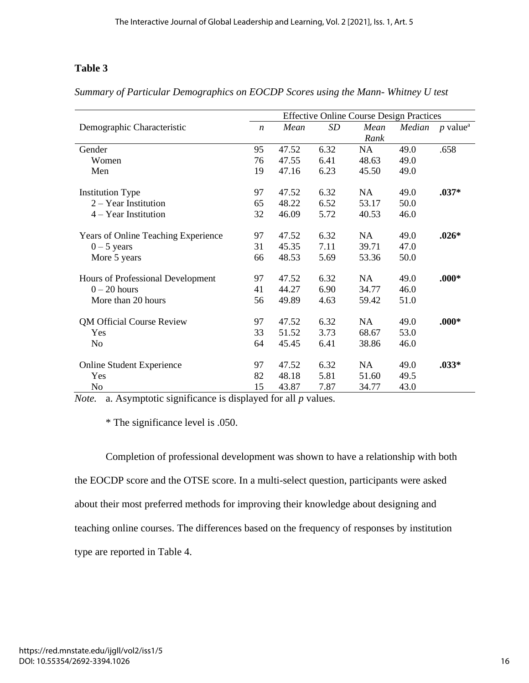# Table 3

|                                            | <b>Effective Online Course Design Practices</b> |       |      |           |        |                                     |
|--------------------------------------------|-------------------------------------------------|-------|------|-----------|--------|-------------------------------------|
| Demographic Characteristic                 | $\boldsymbol{n}$                                | Mean  | SD   | Mean      | Median | $p$ value <sup><math>a</math></sup> |
|                                            |                                                 |       |      | Rank      |        |                                     |
| Gender                                     | 95                                              | 47.52 | 6.32 | <b>NA</b> | 49.0   | .658                                |
| Women                                      | 76                                              | 47.55 | 6.41 | 48.63     | 49.0   |                                     |
| Men                                        | 19                                              | 47.16 | 6.23 | 45.50     | 49.0   |                                     |
| <b>Institution Type</b>                    | 97                                              | 47.52 | 6.32 | <b>NA</b> | 49.0   | $.037*$                             |
| 2 - Year Institution                       | 65                                              | 48.22 | 6.52 | 53.17     | 50.0   |                                     |
| $4 - Year$ Institution                     | 32                                              | 46.09 | 5.72 | 40.53     | 46.0   |                                     |
| <b>Years of Online Teaching Experience</b> | 97                                              | 47.52 | 6.32 | <b>NA</b> | 49.0   | $.026*$                             |
| $0 - 5$ years                              | 31                                              | 45.35 | 7.11 | 39.71     | 47.0   |                                     |
| More 5 years                               | 66                                              | 48.53 | 5.69 | 53.36     | 50.0   |                                     |
| Hours of Professional Development          | 97                                              | 47.52 | 6.32 | NA        | 49.0   | $.000*$                             |
| $0 - 20$ hours                             | 41                                              | 44.27 | 6.90 | 34.77     | 46.0   |                                     |
| More than 20 hours                         | 56                                              | 49.89 | 4.63 | 59.42     | 51.0   |                                     |
| <b>QM Official Course Review</b>           | 97                                              | 47.52 | 6.32 | <b>NA</b> | 49.0   | $.000*$                             |
| Yes                                        | 33                                              | 51.52 | 3.73 | 68.67     | 53.0   |                                     |
| N <sub>o</sub>                             | 64                                              | 45.45 | 6.41 | 38.86     | 46.0   |                                     |
| <b>Online Student Experience</b>           | 97                                              | 47.52 | 6.32 | <b>NA</b> | 49.0   | $.033*$                             |
| Yes                                        | 82                                              | 48.18 | 5.81 | 51.60     | 49.5   |                                     |
| N <sub>o</sub>                             | 15                                              | 43.87 | 7.87 | 34.77     | 43.0   |                                     |

*Summary of Particular Demographics on EOCDP Scores using the Mann- Whitney U test*

*Note.* a. Asymptotic significance is displayed for all *p* values.

\* The significance level is .050.

Completion of professional development was shown to have a relationship with both the EOCDP score and the OTSE score. In a multi-select question, participants were asked about their most preferred methods for improving their knowledge about designing and teaching online courses. The differences based on the frequency of responses by institution type are reported in Table 4.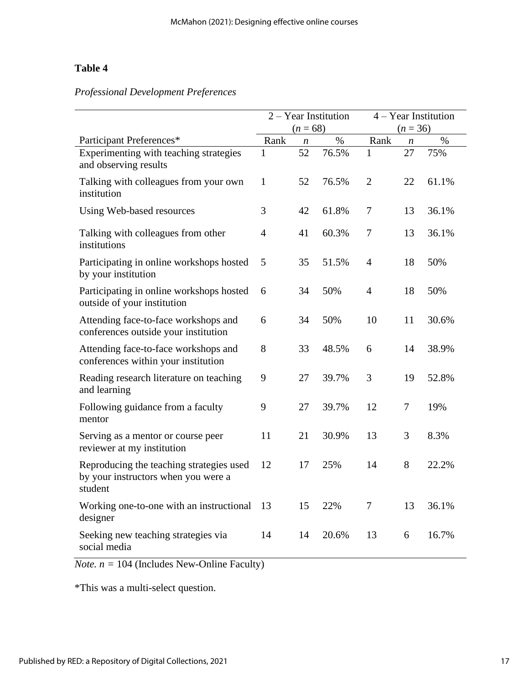# Table 4

# *Professional Development Preferences*

|                                                                                            | 2 - Year Institution |                  | 4 - Year Institution |                |    |       |
|--------------------------------------------------------------------------------------------|----------------------|------------------|----------------------|----------------|----|-------|
|                                                                                            | $(n = 68)$           |                  | $(n = 36)$           |                |    |       |
| Participant Preferences*                                                                   | Rank                 | $\boldsymbol{n}$ | $\%$                 | Rank           | n  | $\%$  |
| Experimenting with teaching strategies<br>and observing results                            | 1                    | 52               | 76.5%                | 1              | 27 | 75%   |
| Talking with colleagues from your own<br>institution                                       | $\mathbf{1}$         | 52               | 76.5%                | $\overline{2}$ | 22 | 61.1% |
| Using Web-based resources                                                                  | 3                    | 42               | 61.8%                | 7              | 13 | 36.1% |
| Talking with colleagues from other<br>institutions                                         | $\overline{4}$       | 41               | 60.3%                | $\tau$         | 13 | 36.1% |
| Participating in online workshops hosted<br>by your institution                            | 5                    | 35               | 51.5%                | $\overline{4}$ | 18 | 50%   |
| Participating in online workshops hosted<br>outside of your institution                    | 6                    | 34               | 50%                  | $\overline{4}$ | 18 | 50%   |
| Attending face-to-face workshops and<br>conferences outside your institution               | 6                    | 34               | 50%                  | 10             | 11 | 30.6% |
| Attending face-to-face workshops and<br>conferences within your institution                | 8                    | 33               | 48.5%                | 6              | 14 | 38.9% |
| Reading research literature on teaching<br>and learning                                    | 9                    | 27               | 39.7%                | 3              | 19 | 52.8% |
| Following guidance from a faculty<br>mentor                                                | 9                    | 27               | 39.7%                | 12             | 7  | 19%   |
| Serving as a mentor or course peer<br>reviewer at my institution                           | 11                   | 21               | 30.9%                | 13             | 3  | 8.3%  |
| Reproducing the teaching strategies used<br>by your instructors when you were a<br>student | 12                   | 17               | 25%                  | 14             | 8  | 22.2% |
| Working one-to-one with an instructional<br>designer                                       | 13                   | 15               | 22%                  | $\tau$         | 13 | 36.1% |
| Seeking new teaching strategies via<br>social media                                        | 14                   | 14               | 20.6%                | 13             | 6  | 16.7% |

 $$ 

\*This was a multi-select question.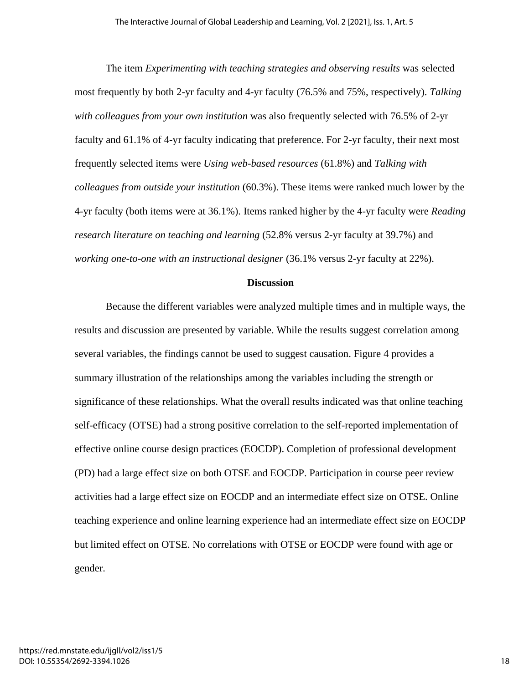The item *Experimenting with teaching strategies and observing results* was selected most frequently by both 2-yr faculty and 4-yr faculty (76.5% and 75%, respectively). *Talking with colleagues from your own institution* was also frequently selected with 76.5% of 2-yr faculty and 61.1% of 4-yr faculty indicating that preference. For 2-yr faculty, their next most frequently selected items were *Using web-based resources* (61.8%) and *Talking with colleagues from outside your institution* (60.3%). These items were ranked much lower by the 4-yr faculty (both items were at 36.1%). Items ranked higher by the 4-yr faculty were *Reading research literature on teaching and learning* (52.8% versus 2-yr faculty at 39.7%) and *working one-to-one with an instructional designer* (36.1% versus 2-yr faculty at 22%).

### **Discussion**

Because the different variables were analyzed multiple times and in multiple ways, the results and discussion are presented by variable. While the results suggest correlation among several variables, the findings cannot be used to suggest causation. Figure 4 provides a summary illustration of the relationships among the variables including the strength or significance of these relationships. What the overall results indicated was that online teaching self-efficacy (OTSE) had a strong positive correlation to the self-reported implementation of effective online course design practices (EOCDP). Completion of professional development (PD) had a large effect size on both OTSE and EOCDP. Participation in course peer review activities had a large effect size on EOCDP and an intermediate effect size on OTSE. Online teaching experience and online learning experience had an intermediate effect size on EOCDP but limited effect on OTSE. No correlations with OTSE or EOCDP were found with age or gender.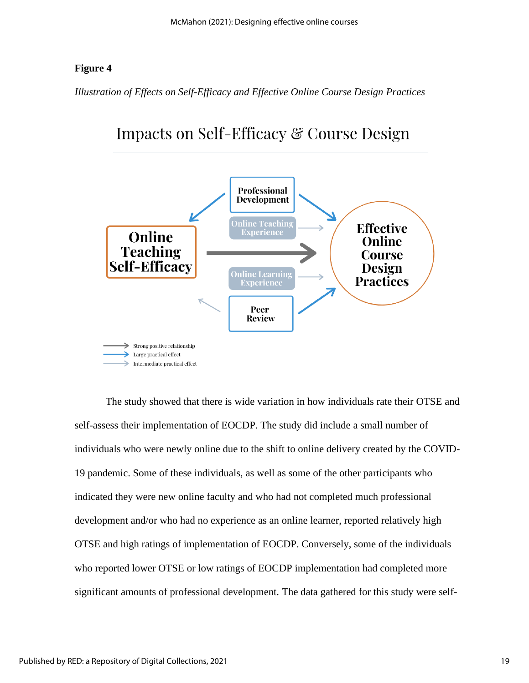# **Figure 4.**

*Illustration of Effects on Self-Efficacy and Effective Online Course Design Practices*



Impacts on Self-Efficacy & Course Design

The study showed that there is wide variation in how individuals rate their OTSE and self-assess their implementation of EOCDP. The study did include a small number of individuals who were newly online due to the shift to online delivery created by the COVID-19 pandemic. Some of these individuals, as well as some of the other participants who indicated they were new online faculty and who had not completed much professional development and/or who had no experience as an online learner, reported relatively high OTSE and high ratings of implementation of EOCDP. Conversely, some of the individuals who reported lower OTSE or low ratings of EOCDP implementation had completed more significant amounts of professional development. The data gathered for this study were self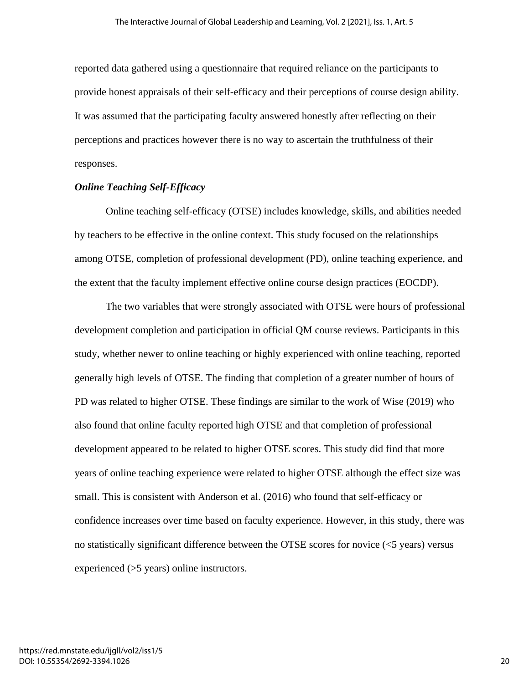reported data gathered using a questionnaire that required reliance on the participants to provide honest appraisals of their self-efficacy and their perceptions of course design ability. It was assumed that the participating faculty answered honestly after reflecting on their perceptions and practices however there is no way to ascertain the truthfulness of their responses.

### *Online Teaching Self-Efficacy*

Online teaching self-efficacy (OTSE) includes knowledge, skills, and abilities needed by teachers to be effective in the online context. This study focused on the relationships among OTSE, completion of professional development (PD), online teaching experience, and the extent that the faculty implement effective online course design practices (EOCDP).

The two variables that were strongly associated with OTSE were hours of professional development completion and participation in official QM course reviews. Participants in this study, whether newer to online teaching or highly experienced with online teaching, reported generally high levels of OTSE. The finding that completion of a greater number of hours of PD was related to higher OTSE. These findings are similar to the work of Wise (2019) who also found that online faculty reported high OTSE and that completion of professional development appeared to be related to higher OTSE scores. This study did find that more years of online teaching experience were related to higher OTSE although the effect size was small. This is consistent with Anderson et al. (2016) who found that self-efficacy or confidence increases over time based on faculty experience. However, in this study, there was no statistically significant difference between the OTSE scores for novice (<5 years) versus experienced (>5 years) online instructors.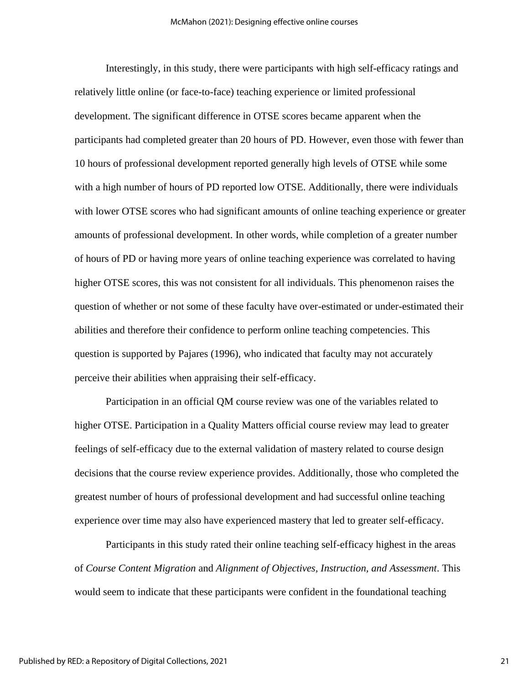Interestingly, in this study, there were participants with high self-efficacy ratings and relatively little online (or face-to-face) teaching experience or limited professional development. The significant difference in OTSE scores became apparent when the participants had completed greater than 20 hours of PD. However, even those with fewer than 10 hours of professional development reported generally high levels of OTSE while some with a high number of hours of PD reported low OTSE. Additionally, there were individuals with lower OTSE scores who had significant amounts of online teaching experience or greater amounts of professional development. In other words, while completion of a greater number of hours of PD or having more years of online teaching experience was correlated to having higher OTSE scores, this was not consistent for all individuals. This phenomenon raises the question of whether or not some of these faculty have over-estimated or under-estimated their abilities and therefore their confidence to perform online teaching competencies. This question is supported by Pajares (1996), who indicated that faculty may not accurately perceive their abilities when appraising their self-efficacy.

Participation in an official QM course review was one of the variables related to higher OTSE. Participation in a Quality Matters official course review may lead to greater feelings of self-efficacy due to the external validation of mastery related to course design decisions that the course review experience provides. Additionally, those who completed the greatest number of hours of professional development and had successful online teaching experience over time may also have experienced mastery that led to greater self-efficacy.

Participants in this study rated their online teaching self-efficacy highest in the areas of *Course Content Migration* and *Alignment of Objectives, Instruction, and Assessment*. This would seem to indicate that these participants were confident in the foundational teaching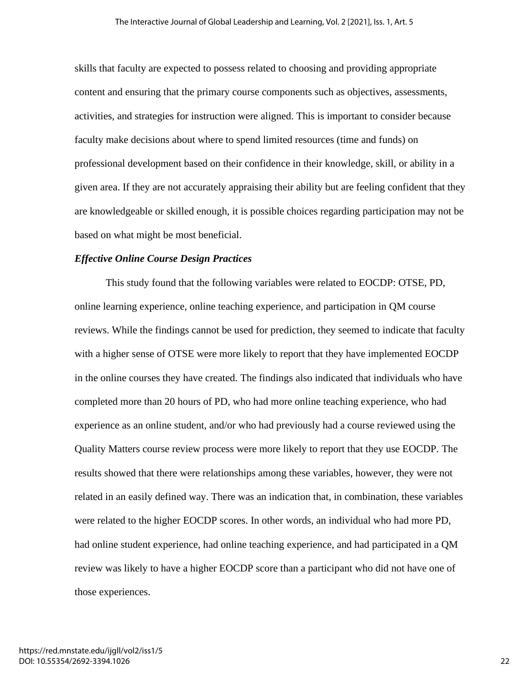skills that faculty are expected to possess related to choosing and providing appropriate content and ensuring that the primary course components such as objectives, assessments, activities, and strategies for instruction were aligned. This is important to consider because faculty make decisions about where to spend limited resources (time and funds) on professional development based on their confidence in their knowledge, skill, or ability in a given area. If they are not accurately appraising their ability but are feeling confident that they are knowledgeable or skilled enough, it is possible choices regarding participation may not be based on what might be most beneficial.

### *Effective Online Course Design Practices*

This study found that the following variables were related to EOCDP: OTSE, PD, online learning experience, online teaching experience, and participation in QM course reviews. While the findings cannot be used for prediction, they seemed to indicate that faculty with a higher sense of OTSE were more likely to report that they have implemented EOCDP in the online courses they have created. The findings also indicated that individuals who have completed more than 20 hours of PD, who had more online teaching experience, who had experience as an online student, and/or who had previously had a course reviewed using the Quality Matters course review process were more likely to report that they use EOCDP*.* The results showed that there were relationships among these variables, however, they were not related in an easily defined way. There was an indication that, in combination, these variables were related to the higher EOCDP scores. In other words, an individual who had more PD, had online student experience, had online teaching experience, and had participated in a QM review was likely to have a higher EOCDP score than a participant who did not have one of those experiences.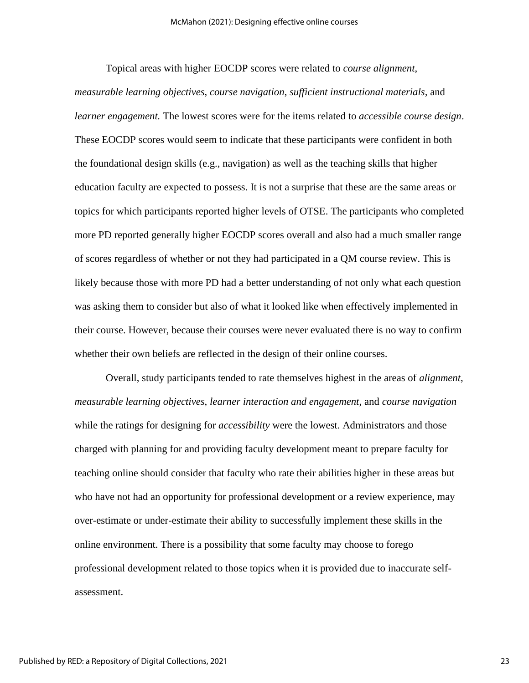Topical areas with higher EOCDP scores were related to *course alignment*,

*measurable learning objectives*, *course navigation*, *sufficient instructional materials,* and *learner engagement.* The lowest scores were for the items related to *accessible course design*. These EOCDP scores would seem to indicate that these participants were confident in both the foundational design skills (e.g., navigation) as well as the teaching skills that higher education faculty are expected to possess. It is not a surprise that these are the same areas or topics for which participants reported higher levels of OTSE. The participants who completed more PD reported generally higher EOCDP scores overall and also had a much smaller range of scores regardless of whether or not they had participated in a QM course review. This is likely because those with more PD had a better understanding of not only what each question was asking them to consider but also of what it looked like when effectively implemented in their course. However, because their courses were never evaluated there is no way to confirm whether their own beliefs are reflected in the design of their online courses.

Overall, study participants tended to rate themselves highest in the areas of *alignment*, *measurable learning objectives*, *learner interaction and engagement*, and *course navigation* while the ratings for designing for *accessibility* were the lowest. Administrators and those charged with planning for and providing faculty development meant to prepare faculty for teaching online should consider that faculty who rate their abilities higher in these areas but who have not had an opportunity for professional development or a review experience, may over-estimate or under-estimate their ability to successfully implement these skills in the online environment. There is a possibility that some faculty may choose to forego professional development related to those topics when it is provided due to inaccurate selfassessment.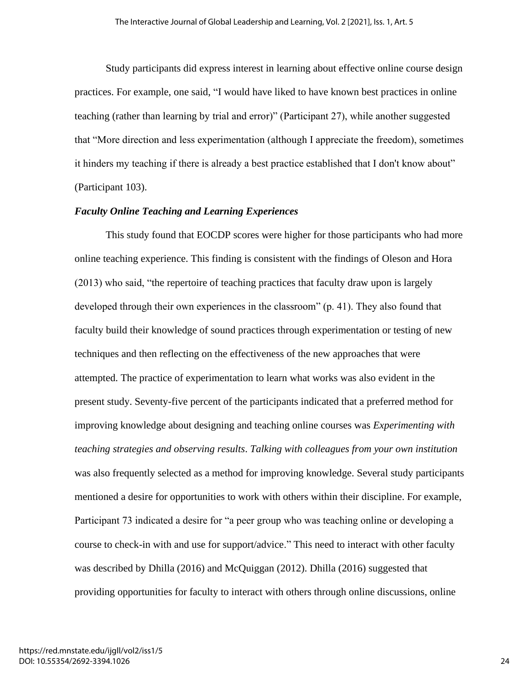Study participants did express interest in learning about effective online course design practices. For example, one said, "I would have liked to have known best practices in online teaching (rather than learning by trial and error)" (Participant 27), while another suggested that "More direction and less experimentation (although I appreciate the freedom), sometimes it hinders my teaching if there is already a best practice established that I don't know about" (Participant 103).

### *Faculty Online Teaching and Learning Experiences*

This study found that EOCDP scores were higher for those participants who had more online teaching experience. This finding is consistent with the findings of Oleson and Hora (2013) who said, "the repertoire of teaching practices that faculty draw upon is largely developed through their own experiences in the classroom" (p. 41). They also found that faculty build their knowledge of sound practices through experimentation or testing of new techniques and then reflecting on the effectiveness of the new approaches that were attempted. The practice of experimentation to learn what works was also evident in the present study. Seventy-five percent of the participants indicated that a preferred method for improving knowledge about designing and teaching online courses was *Experimenting with teaching strategies and observing results*. *Talking with colleagues from your own institution* was also frequently selected as a method for improving knowledge. Several study participants mentioned a desire for opportunities to work with others within their discipline. For example, Participant 73 indicated a desire for "a peer group who was teaching online or developing a course to check-in with and use for support/advice." This need to interact with other faculty was described by Dhilla (2016) and McQuiggan (2012). Dhilla (2016) suggested that providing opportunities for faculty to interact with others through online discussions, online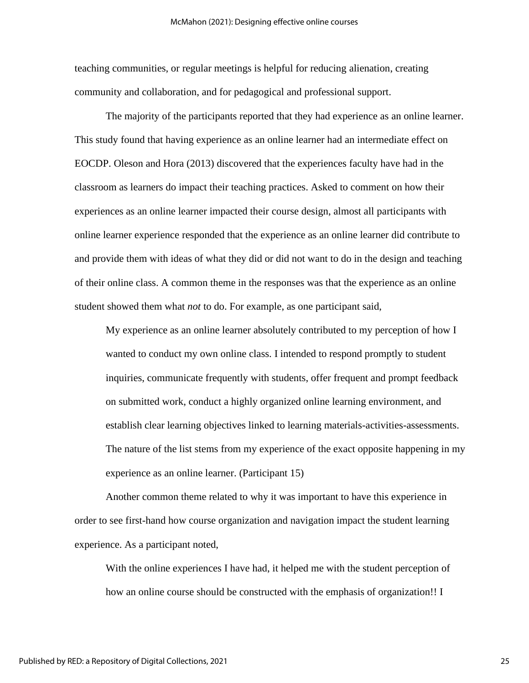teaching communities, or regular meetings is helpful for reducing alienation, creating community and collaboration, and for pedagogical and professional support.

The majority of the participants reported that they had experience as an online learner. This study found that having experience as an online learner had an intermediate effect on EOCDP. Oleson and Hora (2013) discovered that the experiences faculty have had in the classroom as learners do impact their teaching practices. Asked to comment on how their experiences as an online learner impacted their course design, almost all participants with online learner experience responded that the experience as an online learner did contribute to and provide them with ideas of what they did or did not want to do in the design and teaching of their online class. A common theme in the responses was that the experience as an online student showed them what *not* to do. For example, as one participant said,

My experience as an online learner absolutely contributed to my perception of how I wanted to conduct my own online class. I intended to respond promptly to student inquiries, communicate frequently with students, offer frequent and prompt feedback on submitted work, conduct a highly organized online learning environment, and establish clear learning objectives linked to learning materials-activities-assessments. The nature of the list stems from my experience of the exact opposite happening in my experience as an online learner. (Participant 15)

Another common theme related to why it was important to have this experience in order to see first-hand how course organization and navigation impact the student learning experience. As a participant noted,

With the online experiences I have had, it helped me with the student perception of how an online course should be constructed with the emphasis of organization!! I

25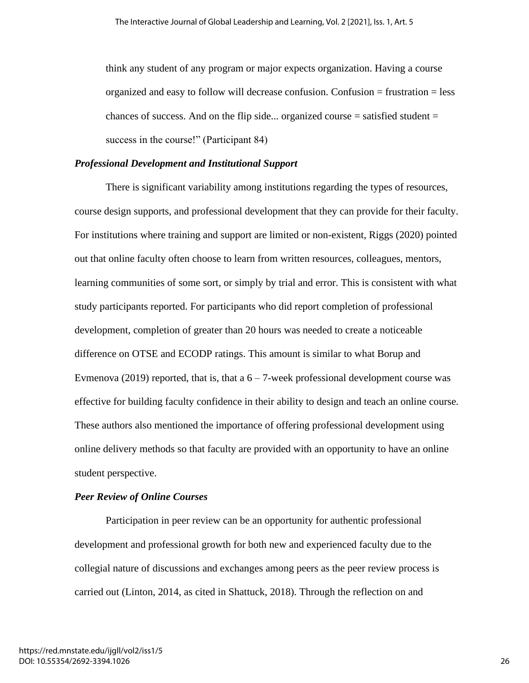think any student of any program or major expects organization. Having a course organized and easy to follow will decrease confusion. Confusion = frustration = less chances of success. And on the flip side... organized course  $=$  satisfied student  $=$ success in the course!" (Participant 84)

### *Professional Development and Institutional Support*

There is significant variability among institutions regarding the types of resources, course design supports, and professional development that they can provide for their faculty. For institutions where training and support are limited or non-existent, Riggs (2020) pointed out that online faculty often choose to learn from written resources, colleagues, mentors, learning communities of some sort, or simply by trial and error. This is consistent with what study participants reported. For participants who did report completion of professional development, completion of greater than 20 hours was needed to create a noticeable difference on OTSE and ECODP ratings. This amount is similar to what Borup and Evmenova (2019) reported, that is, that a  $6 - 7$ -week professional development course was effective for building faculty confidence in their ability to design and teach an online course. These authors also mentioned the importance of offering professional development using online delivery methods so that faculty are provided with an opportunity to have an online student perspective.

### *Peer Review of Online Courses*

Participation in peer review can be an opportunity for authentic professional development and professional growth for both new and experienced faculty due to the collegial nature of discussions and exchanges among peers as the peer review process is carried out (Linton, 2014, as cited in Shattuck, 2018). Through the reflection on and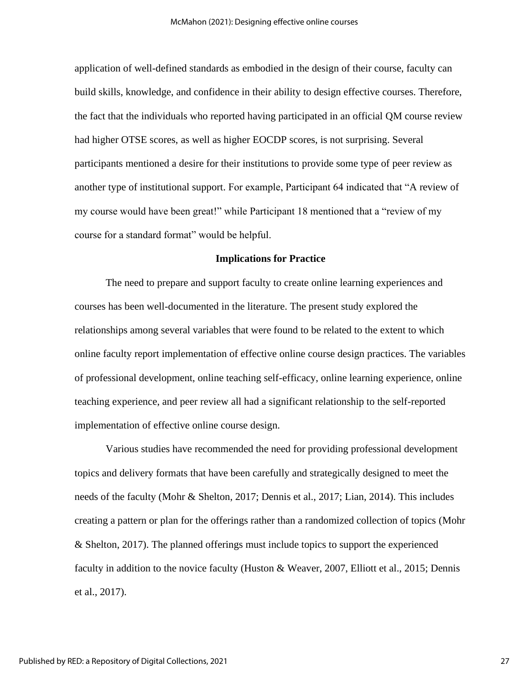application of well-defined standards as embodied in the design of their course, faculty can build skills, knowledge, and confidence in their ability to design effective courses. Therefore, the fact that the individuals who reported having participated in an official QM course review had higher OTSE scores, as well as higher EOCDP scores, is not surprising. Several participants mentioned a desire for their institutions to provide some type of peer review as another type of institutional support. For example, Participant 64 indicated that "A review of my course would have been great!" while Participant 18 mentioned that a "review of my course for a standard format" would be helpful.

### **Implications for Practice**

The need to prepare and support faculty to create online learning experiences and courses has been well-documented in the literature. The present study explored the relationships among several variables that were found to be related to the extent to which online faculty report implementation of effective online course design practices. The variables of professional development, online teaching self-efficacy, online learning experience, online teaching experience, and peer review all had a significant relationship to the self-reported implementation of effective online course design.

Various studies have recommended the need for providing professional development topics and delivery formats that have been carefully and strategically designed to meet the needs of the faculty (Mohr & Shelton, 2017; Dennis et al., 2017; Lian, 2014). This includes creating a pattern or plan for the offerings rather than a randomized collection of topics (Mohr & Shelton, 2017). The planned offerings must include topics to support the experienced faculty in addition to the novice faculty (Huston & Weaver, 2007, Elliott et al., 2015; Dennis et al., 2017).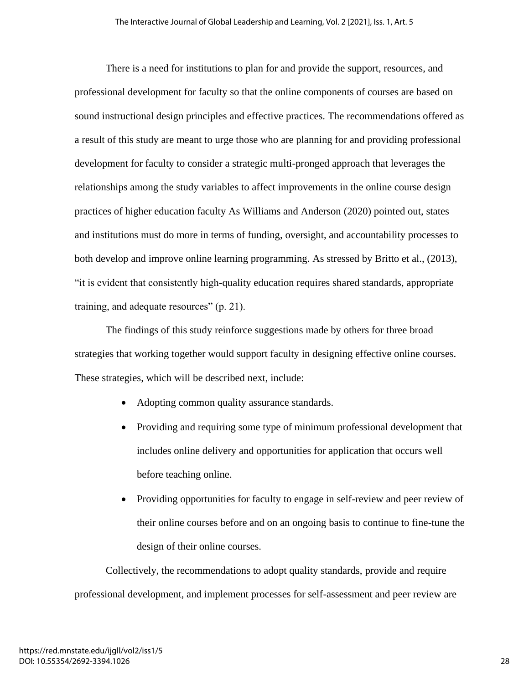There is a need for institutions to plan for and provide the support, resources, and professional development for faculty so that the online components of courses are based on sound instructional design principles and effective practices. The recommendations offered as a result of this study are meant to urge those who are planning for and providing professional development for faculty to consider a strategic multi-pronged approach that leverages the relationships among the study variables to affect improvements in the online course design practices of higher education faculty As Williams and Anderson (2020) pointed out, states and institutions must do more in terms of funding, oversight, and accountability processes to both develop and improve online learning programming. As stressed by Britto et al., (2013), "it is evident that consistently high-quality education requires shared standards, appropriate training, and adequate resources" (p. 21).

The findings of this study reinforce suggestions made by others for three broad strategies that working together would support faculty in designing effective online courses. These strategies, which will be described next, include:

- Adopting common quality assurance standards.
- Providing and requiring some type of minimum professional development that includes online delivery and opportunities for application that occurs well before teaching online.
- Providing opportunities for faculty to engage in self-review and peer review of their online courses before and on an ongoing basis to continue to fine-tune the design of their online courses.

Collectively, the recommendations to adopt quality standards, provide and require professional development, and implement processes for self-assessment and peer review are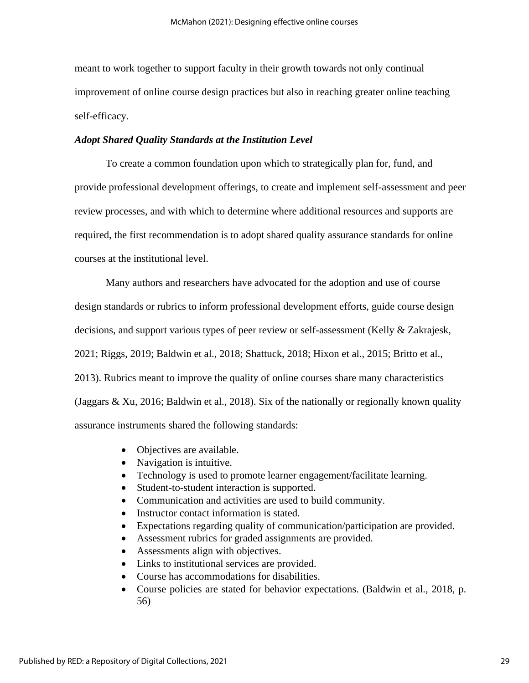meant to work together to support faculty in their growth towards not only continual improvement of online course design practices but also in reaching greater online teaching self-efficacy.

### *Adopt Shared Quality Standards at the Institution Level*

To create a common foundation upon which to strategically plan for, fund, and provide professional development offerings, to create and implement self-assessment and peer review processes, and with which to determine where additional resources and supports are required, the first recommendation is to adopt shared quality assurance standards for online courses at the institutional level.

Many authors and researchers have advocated for the adoption and use of course design standards or rubrics to inform professional development efforts, guide course design decisions, and support various types of peer review or self-assessment (Kelly & Zakrajesk, 2021; Riggs, 2019; Baldwin et al., 2018; Shattuck, 2018; Hixon et al., 2015; Britto et al., 2013). Rubrics meant to improve the quality of online courses share many characteristics (Jaggars & Xu, 2016; Baldwin et al., 2018). Six of the nationally or regionally known quality assurance instruments shared the following standards:

- Objectives are available.
- Navigation is intuitive.
- Technology is used to promote learner engagement/facilitate learning.
- Student-to-student interaction is supported.
- Communication and activities are used to build community.
- Instructor contact information is stated.
- Expectations regarding quality of communication/participation are provided.
- Assessment rubrics for graded assignments are provided.
- Assessments align with objectives.
- Links to institutional services are provided.
- Course has accommodations for disabilities.
- Course policies are stated for behavior expectations. (Baldwin et al., 2018, p. 56)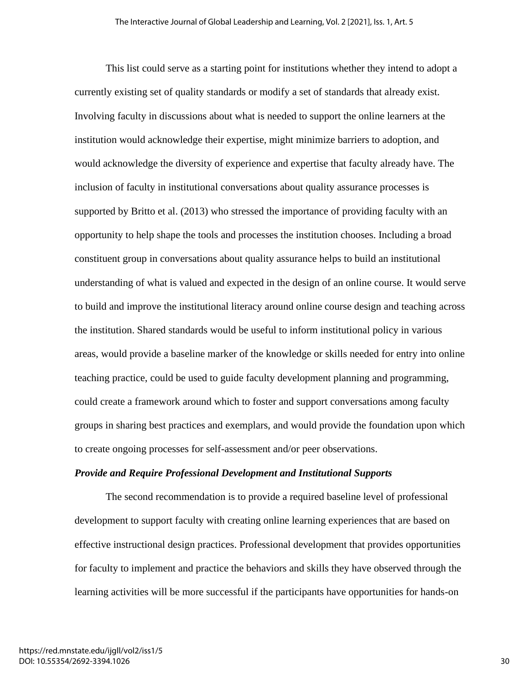This list could serve as a starting point for institutions whether they intend to adopt a currently existing set of quality standards or modify a set of standards that already exist. Involving faculty in discussions about what is needed to support the online learners at the institution would acknowledge their expertise, might minimize barriers to adoption, and would acknowledge the diversity of experience and expertise that faculty already have. The inclusion of faculty in institutional conversations about quality assurance processes is supported by Britto et al. (2013) who stressed the importance of providing faculty with an opportunity to help shape the tools and processes the institution chooses. Including a broad constituent group in conversations about quality assurance helps to build an institutional understanding of what is valued and expected in the design of an online course. It would serve to build and improve the institutional literacy around online course design and teaching across the institution. Shared standards would be useful to inform institutional policy in various areas, would provide a baseline marker of the knowledge or skills needed for entry into online teaching practice, could be used to guide faculty development planning and programming, could create a framework around which to foster and support conversations among faculty groups in sharing best practices and exemplars, and would provide the foundation upon which to create ongoing processes for self-assessment and/or peer observations.

### *Provide and Require Professional Development and Institutional Supports*

The second recommendation is to provide a required baseline level of professional development to support faculty with creating online learning experiences that are based on effective instructional design practices. Professional development that provides opportunities for faculty to implement and practice the behaviors and skills they have observed through the learning activities will be more successful if the participants have opportunities for hands-on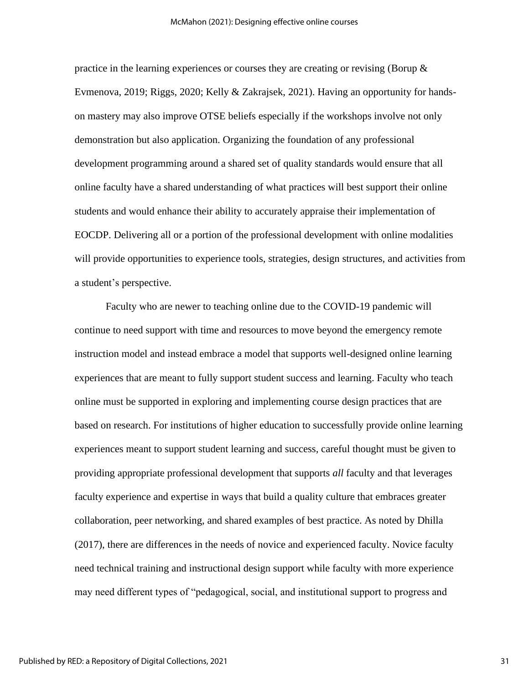practice in the learning experiences or courses they are creating or revising (Borup & Evmenova, 2019; Riggs, 2020; Kelly & Zakrajsek, 2021). Having an opportunity for handson mastery may also improve OTSE beliefs especially if the workshops involve not only demonstration but also application. Organizing the foundation of any professional development programming around a shared set of quality standards would ensure that all online faculty have a shared understanding of what practices will best support their online students and would enhance their ability to accurately appraise their implementation of EOCDP. Delivering all or a portion of the professional development with online modalities will provide opportunities to experience tools, strategies, design structures, and activities from a student's perspective.

Faculty who are newer to teaching online due to the COVID-19 pandemic will continue to need support with time and resources to move beyond the emergency remote instruction model and instead embrace a model that supports well-designed online learning experiences that are meant to fully support student success and learning. Faculty who teach online must be supported in exploring and implementing course design practices that are based on research. For institutions of higher education to successfully provide online learning experiences meant to support student learning and success, careful thought must be given to providing appropriate professional development that supports *all* faculty and that leverages faculty experience and expertise in ways that build a quality culture that embraces greater collaboration, peer networking, and shared examples of best practice. As noted by Dhilla (2017), there are differences in the needs of novice and experienced faculty. Novice faculty need technical training and instructional design support while faculty with more experience may need different types of "pedagogical, social, and institutional support to progress and

31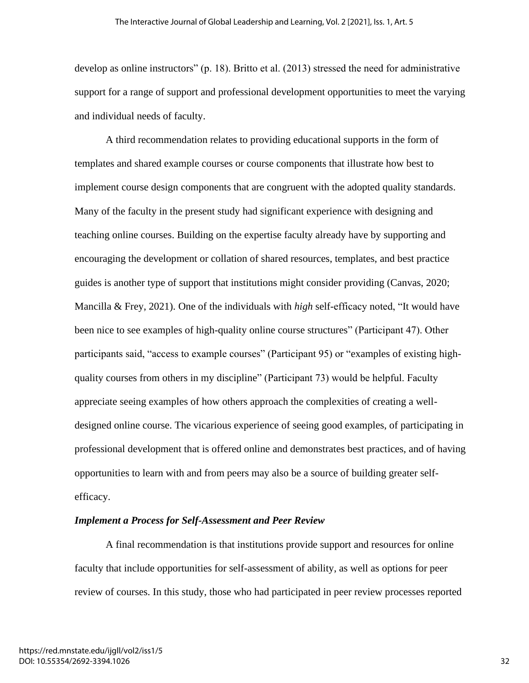develop as online instructors" (p. 18). Britto et al. (2013) stressed the need for administrative support for a range of support and professional development opportunities to meet the varying and individual needs of faculty.

A third recommendation relates to providing educational supports in the form of templates and shared example courses or course components that illustrate how best to implement course design components that are congruent with the adopted quality standards. Many of the faculty in the present study had significant experience with designing and teaching online courses. Building on the expertise faculty already have by supporting and encouraging the development or collation of shared resources, templates, and best practice guides is another type of support that institutions might consider providing (Canvas, 2020; Mancilla & Frey, 2021). One of the individuals with *high* self-efficacy noted, "It would have been nice to see examples of high-quality online course structures" (Participant 47). Other participants said, "access to example courses" (Participant 95) or "examples of existing highquality courses from others in my discipline" (Participant 73) would be helpful. Faculty appreciate seeing examples of how others approach the complexities of creating a welldesigned online course. The vicarious experience of seeing good examples, of participating in professional development that is offered online and demonstrates best practices, and of having opportunities to learn with and from peers may also be a source of building greater selfefficacy.

### *Implement a Process for Self-Assessment and Peer Review*

A final recommendation is that institutions provide support and resources for online faculty that include opportunities for self-assessment of ability, as well as options for peer review of courses. In this study, those who had participated in peer review processes reported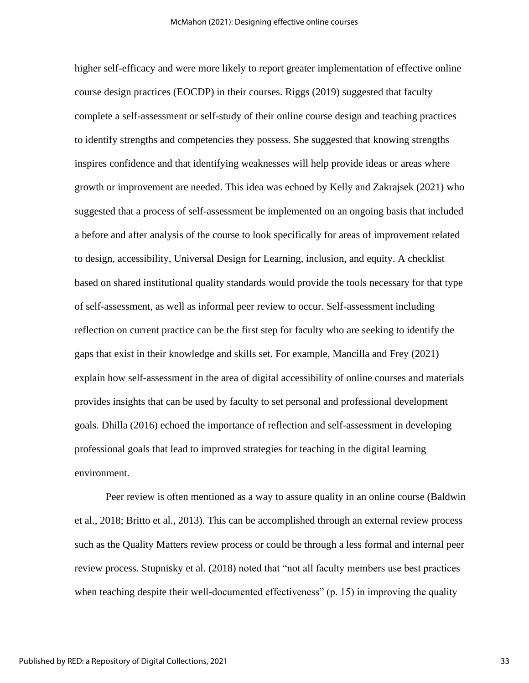higher self-efficacy and were more likely to report greater implementation of effective online course design practices (EOCDP) in their courses. Riggs (2019) suggested that faculty complete a self-assessment or self-study of their online course design and teaching practices to identify strengths and competencies they possess. She suggested that knowing strengths inspires confidence and that identifying weaknesses will help provide ideas or areas where growth or improvement are needed. This idea was echoed by Kelly and Zakrajsek (2021) who suggested that a process of self-assessment be implemented on an ongoing basis that included a before and after analysis of the course to look specifically for areas of improvement related to design, accessibility, Universal Design for Learning, inclusion, and equity. A checklist based on shared institutional quality standards would provide the tools necessary for that type of self-assessment, as well as informal peer review to occur. Self-assessment including reflection on current practice can be the first step for faculty who are seeking to identify the gaps that exist in their knowledge and skills set. For example, Mancilla and Frey (2021) explain how self-assessment in the area of digital accessibility of online courses and materials provides insights that can be used by faculty to set personal and professional development goals. Dhilla (2016) echoed the importance of reflection and self-assessment in developing professional goals that lead to improved strategies for teaching in the digital learning environment.

Peer review is often mentioned as a way to assure quality in an online course (Baldwin et al., 2018; Britto et al., 2013). This can be accomplished through an external review process such as the Quality Matters review process or could be through a less formal and internal peer review process. Stupnisky et al. (2018) noted that "not all faculty members use best practices when teaching despite their well-documented effectiveness" (p. 15) in improving the quality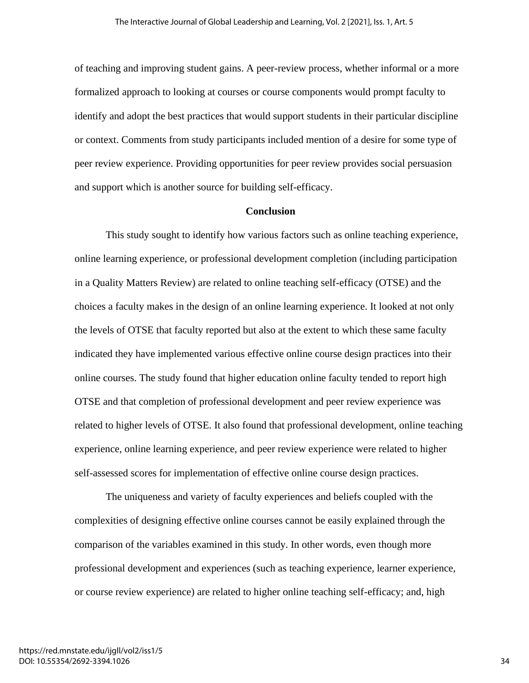of teaching and improving student gains. A peer-review process, whether informal or a more formalized approach to looking at courses or course components would prompt faculty to identify and adopt the best practices that would support students in their particular discipline or context. Comments from study participants included mention of a desire for some type of peer review experience. Providing opportunities for peer review provides social persuasion and support which is another source for building self-efficacy.

### **Conclusion**

This study sought to identify how various factors such as online teaching experience, online learning experience, or professional development completion (including participation in a Quality Matters Review) are related to online teaching self-efficacy (OTSE) and the choices a faculty makes in the design of an online learning experience. It looked at not only the levels of OTSE that faculty reported but also at the extent to which these same faculty indicated they have implemented various effective online course design practices into their online courses. The study found that higher education online faculty tended to report high OTSE and that completion of professional development and peer review experience was related to higher levels of OTSE. It also found that professional development, online teaching experience, online learning experience, and peer review experience were related to higher self-assessed scores for implementation of effective online course design practices.

The uniqueness and variety of faculty experiences and beliefs coupled with the complexities of designing effective online courses cannot be easily explained through the comparison of the variables examined in this study. In other words, even though more professional development and experiences (such as teaching experience, learner experience, or course review experience) are related to higher online teaching self-efficacy; and, high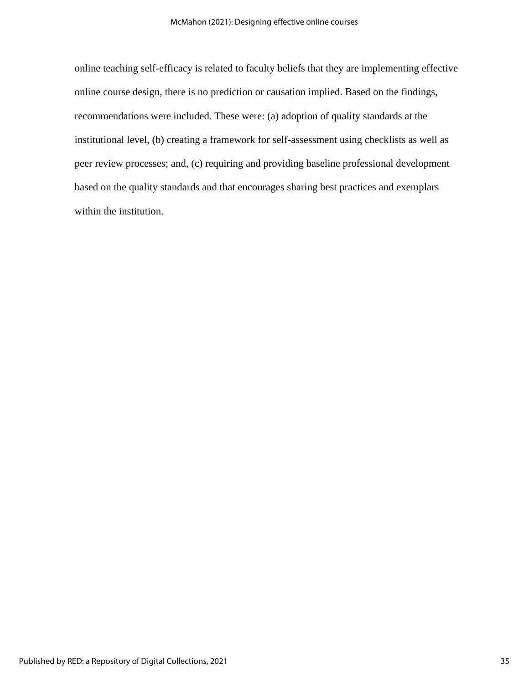online teaching self-efficacy is related to faculty beliefs that they are implementing effective online course design, there is no prediction or causation implied. Based on the findings, recommendations were included. These were: (a) adoption of quality standards at the institutional level, (b) creating a framework for self-assessment using checklists as well as peer review processes; and, (c) requiring and providing baseline professional development based on the quality standards and that encourages sharing best practices and exemplars within the institution.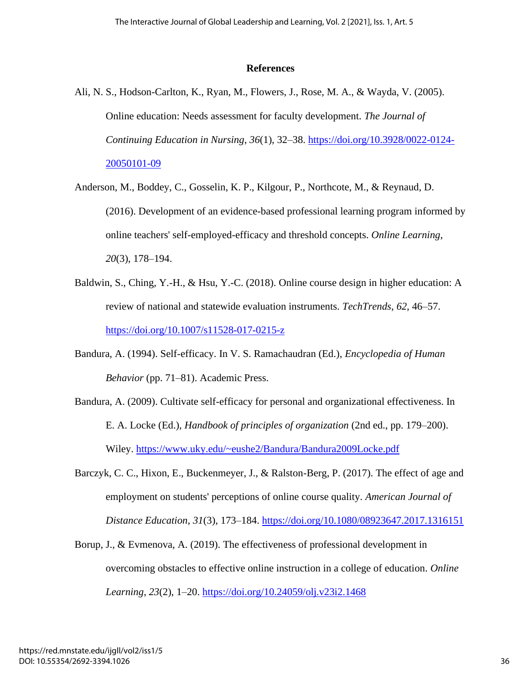### **References**

- Ali, N. S., Hodson-Carlton, K., Ryan, M., Flowers, J., Rose, M. A., & Wayda, V. (2005). Online education: Needs assessment for faculty development. *The Journal of Continuing Education in Nursing*, *36*(1), 32–38. [https://doi.org/10.3928/0022-0124-](https://doi.org/10.3928/0022-0124-20050101-09) [20050101-09](https://doi.org/10.3928/0022-0124-20050101-09)
- Anderson, M., Boddey, C., Gosselin, K. P., Kilgour, P., Northcote, M., & Reynaud, D. (2016). Development of an evidence-based professional learning program informed by online teachers' self-employed-efficacy and threshold concepts. *Online Learning*, *20*(3), 178–194.
- Baldwin, S., Ching, Y.-H., & Hsu, Y.-C. (2018). Online course design in higher education: A review of national and statewide evaluation instruments. *TechTrends*, *62*, 46–57. <https://doi.org/10.1007/s11528-017-0215-z>
- Bandura, A. (1994). Self-efficacy. In V. S. Ramachaudran (Ed.), *Encyclopedia of Human Behavior* (pp. 71–81). Academic Press.
- Bandura, A. (2009). Cultivate self-efficacy for personal and organizational effectiveness. In E. A. Locke (Ed.), *Handbook of principles of organization* (2nd ed., pp. 179–200). Wiley.<https://www.uky.edu/~eushe2/Bandura/Bandura2009Locke.pdf>
- Barczyk, C. C., Hixon, E., Buckenmeyer, J., & Ralston-Berg, P. (2017). The effect of age and employment on students' perceptions of online course quality. *American Journal of Distance Education*, *31*(3), 173–184.<https://doi.org/10.1080/08923647.2017.1316151>
- Borup, J., & Evmenova, A. (2019). The effectiveness of professional development in overcoming obstacles to effective online instruction in a college of education. *Online Learning*, *23*(2), 1–20.<https://doi.org/10.24059/olj.v23i2.1468>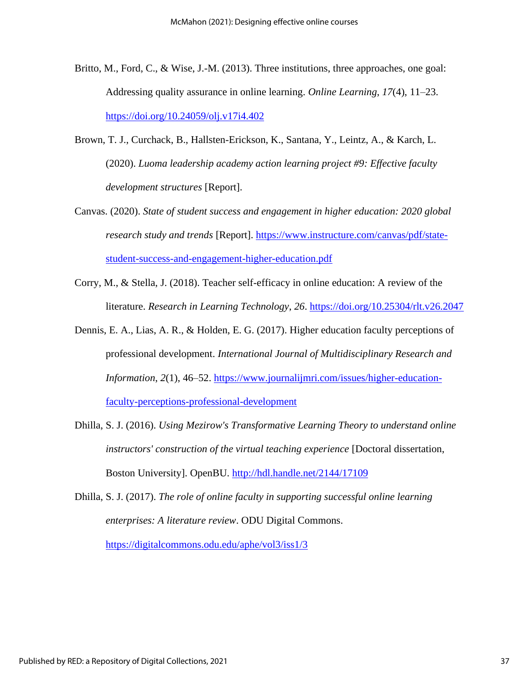- Britto, M., Ford, C., & Wise, J.-M. (2013). Three institutions, three approaches, one goal: Addressing quality assurance in online learning. *Online Learning*, *17*(4), 11–23. <https://doi.org/10.24059/olj.v17i4.402>
- Brown, T. J., Curchack, B., Hallsten-Erickson, K., Santana, Y., Leintz, A., & Karch, L. (2020). *Luoma leadership academy action learning project #9: Effective faculty development structures* [Report].
- Canvas. (2020). *State of student success and engagement in higher education: 2020 global research study and trends* [Report]. [https://www.instructure.com/canvas/pdf/state](https://www.instructure.com/canvas/pdf/state-student-success-and-engagement-higher-education.pdf)[student-success-and-engagement-higher-education.pdf](https://www.instructure.com/canvas/pdf/state-student-success-and-engagement-higher-education.pdf)
- Corry, M., & Stella, J. (2018). Teacher self-efficacy in online education: A review of the literature. *Research in Learning Technology*, *26*.<https://doi.org/10.25304/rlt.v26.2047>
- Dennis, E. A., Lias, A. R., & Holden, E. G. (2017). Higher education faculty perceptions of professional development. *International Journal of Multidisciplinary Research and Information*, *2*(1), 46–52. [https://www.journalijmri.com/issues/higher-education](https://www.journalijmri.com/issues/higher-education-faculty-perceptions-professional-development)[faculty-perceptions-professional-development](https://www.journalijmri.com/issues/higher-education-faculty-perceptions-professional-development)
- Dhilla, S. J. (2016). *Using Mezirow's Transformative Learning Theory to understand online instructors' construction of the virtual teaching experience* [Doctoral dissertation, Boston University]. OpenBU.<http://hdl.handle.net/2144/17109>
- Dhilla, S. J. (2017). *The role of online faculty in supporting successful online learning enterprises: A literature review*. ODU Digital Commons.

<https://digitalcommons.odu.edu/aphe/vol3/iss1/3>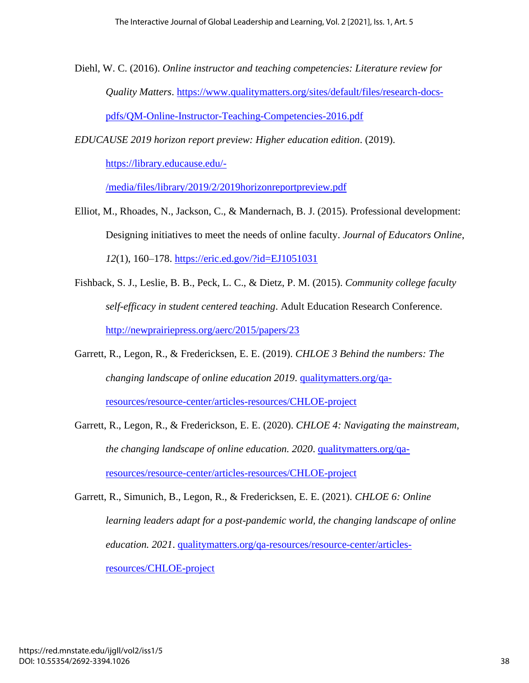Diehl, W. C. (2016). *Online instructor and teaching competencies: Literature review for Quality Matters*. [https://www.qualitymatters.org/sites/default/files/research-docs](https://www.qualitymatters.org/sites/default/files/research-docs-pdfs/QM-Online-Instructor-Teaching-Competencies-2016.pdf)[pdfs/QM-Online-Instructor-Teaching-Competencies-2016.pdf](https://www.qualitymatters.org/sites/default/files/research-docs-pdfs/QM-Online-Instructor-Teaching-Competencies-2016.pdf)

*EDUCAUSE 2019 horizon report preview: Higher education edition*. (2019).

[https://library.educause.edu/-](https://library.educause.edu/-/media/files/library/2019/2/2019horizonreportpreview.pdf)

[/media/files/library/2019/2/2019horizonreportpreview.pdf](https://library.educause.edu/-/media/files/library/2019/2/2019horizonreportpreview.pdf)

- Elliot, M., Rhoades, N., Jackson, C., & Mandernach, B. J. (2015). Professional development: Designing initiatives to meet the needs of online faculty. *Journal of Educators Online*, *12*(1), 160–178.<https://eric.ed.gov/?id=EJ1051031>
- Fishback, S. J., Leslie, B. B., Peck, L. C., & Dietz, P. M. (2015). *Community college faculty self-efficacy in student centered teaching*. Adult Education Research Conference. <http://newprairiepress.org/aerc/2015/papers/23>
- Garrett, R., Legon, R., & Fredericksen, E. E. (2019). *CHLOE 3 Behind the numbers: The changing landscape of online education 2019*. [qualitymatters.org/qa](https://www.qualitymatters.org/qa-resources/resource-center/articles-resources/CHLOE-project)[resources/resource-center/articles-resources/CHLOE-project](https://www.qualitymatters.org/qa-resources/resource-center/articles-resources/CHLOE-project)
- Garrett, R., Legon, R., & Frederickson, E. E. (2020). *CHLOE 4: Navigating the mainstream, the changing landscape of online education. 2020*. [qualitymatters.org/qa](https://www.qualitymatters.org/qa-resources/resource-center/articles-resources/CHLOE-project)[resources/resource-center/articles-resources/CHLOE-project](https://www.qualitymatters.org/qa-resources/resource-center/articles-resources/CHLOE-project)
- Garrett, R., Simunich, B., Legon, R., & Fredericksen, E. E. (2021). *CHLOE 6: Online learning leaders adapt for a post-pandemic world, the changing landscape of online education. 2021*. [qualitymatters.org/qa-resources/resource-center/articles](https://www.qualitymatters.org/qa-resources/resource-center/articles-resources/CHLOE-project)[resources/CHLOE-project](https://www.qualitymatters.org/qa-resources/resource-center/articles-resources/CHLOE-project)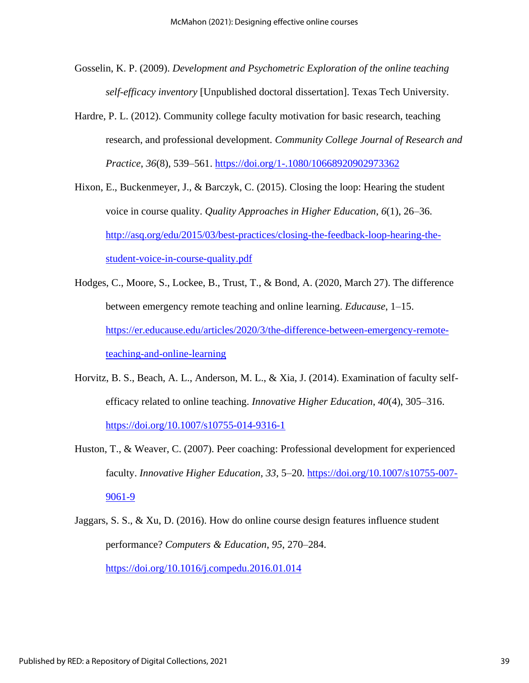- Gosselin, K. P. (2009). *Development and Psychometric Exploration of the online teaching self-efficacy inventory* [Unpublished doctoral dissertation]. Texas Tech University.
- Hardre, P. L. (2012). Community college faculty motivation for basic research, teaching research, and professional development. *Community College Journal of Research and Practice*, *36*(8), 539–561.<https://doi.org/1-.1080/10668920902973362>
- Hixon, E., Buckenmeyer, J., & Barczyk, C. (2015). Closing the loop: Hearing the student voice in course quality. *Quality Approaches in Higher Education*, *6*(1), 26–36. [http://asq.org/edu/2015/03/best-practices/closing-the-feedback-loop-hearing-the](http://asq.org/edu/2015/03/best-practices/closing-the-feedback-loop-hearing-the-student-voice-in-course-quality.pdf)[student-voice-in-course-quality.pdf](http://asq.org/edu/2015/03/best-practices/closing-the-feedback-loop-hearing-the-student-voice-in-course-quality.pdf)
- Hodges, C., Moore, S., Lockee, B., Trust, T., & Bond, A. (2020, March 27). The difference between emergency remote teaching and online learning. *Educause*, 1–15. [https://er.educause.edu/articles/2020/3/the-difference-between-emergency-remote](https://er.educause.edu/articles/2020/3/the-difference-between-emergency-remote-teaching-and-online-learning)[teaching-and-online-learning](https://er.educause.edu/articles/2020/3/the-difference-between-emergency-remote-teaching-and-online-learning)
- Horvitz, B. S., Beach, A. L., Anderson, M. L., & Xia, J. (2014). Examination of faculty selfefficacy related to online teaching. *Innovative Higher Education*, *40*(4), 305–316. <https://doi.org/10.1007/s10755-014-9316-1>
- Huston, T., & Weaver, C. (2007). Peer coaching: Professional development for experienced faculty. *Innovative Higher Education*, *33*, 5–20. [https://doi.org/10.1007/s10755-007-](https://doi.org/10.1007/s10755-007-9061-9) [9061-9](https://doi.org/10.1007/s10755-007-9061-9)
- Jaggars, S. S., & Xu, D. (2016). How do online course design features influence student performance? *Computers & Education*, *95*, 270–284. <https://doi.org/10.1016/j.compedu.2016.01.014>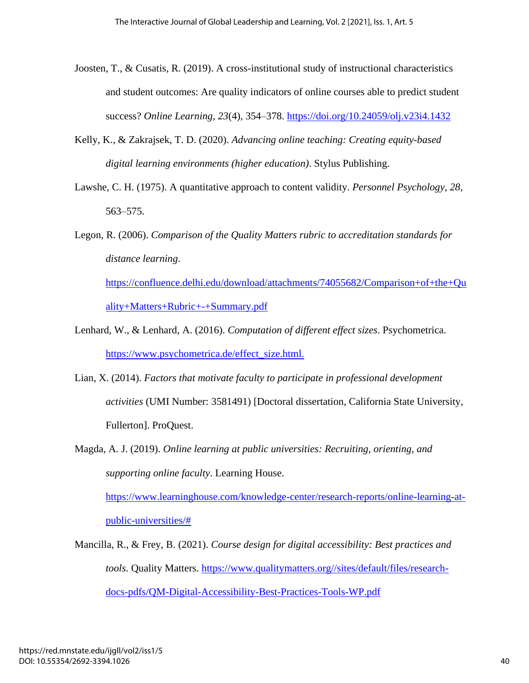- Joosten, T., & Cusatis, R. (2019). A cross-institutional study of instructional characteristics and student outcomes: Are quality indicators of online courses able to predict student success? *Online Learning*, *23*(4), 354–378.<https://doi.org/10.24059/olj.v23i4.1432>
- Kelly, K., & Zakrajsek, T. D. (2020). *Advancing online teaching: Creating equity-based digital learning environments (higher education)*. Stylus Publishing.
- Lawshe, C. H. (1975). A quantitative approach to content validity. *Personnel Psychology*, *28*, 563–575.
- Legon, R. (2006). *Comparison of the Quality Matters rubric to accreditation standards for distance learning*.

[https://confluence.delhi.edu/download/attachments/74055682/Comparison+of+the+Qu](https://confluence.delhi.edu/download/attachments/74055682/Comparison+of+the+Quality+Matters+Rubric+-+Summary.pdf) [ality+Matters+Rubric+-+Summary.pdf](https://confluence.delhi.edu/download/attachments/74055682/Comparison+of+the+Quality+Matters+Rubric+-+Summary.pdf)

- Lenhard, W., & Lenhard, A. (2016). *Computation of different effect sizes*. Psychometrica. [https://www.psychometrica.de/effect\\_size.html.](https://www.psychometrica.de/effect_size.html.)
- Lian, X. (2014). *Factors that motivate faculty to participate in professional development activities* (UMI Number: 3581491) [Doctoral dissertation, California State University, Fullerton]. ProQuest.
- Magda, A. J. (2019). *Online learning at public universities: Recruiting, orienting, and supporting online faculty*. Learning House.

[https://www.learninghouse.com/knowledge-center/research-reports/online-learning-at](https://www.learninghouse.com/knowledge-center/research-reports/online-learning-at-public-universities/)[public-universities/#](https://www.learninghouse.com/knowledge-center/research-reports/online-learning-at-public-universities/)

Mancilla, R., & Frey, B. (2021). *Course design for digital accessibility: Best practices and tools*. Quality Matters. [https://www.qualitymatters.org//sites/default/files/research](https://www.qualitymatters.org/sites/default/files/research-docs-pdfs/QM-Digital-Accessibility-Best-Practices-Tools-WP.pdf)[docs-pdfs/QM-Digital-Accessibility-Best-Practices-Tools-WP.pdf](https://www.qualitymatters.org/sites/default/files/research-docs-pdfs/QM-Digital-Accessibility-Best-Practices-Tools-WP.pdf)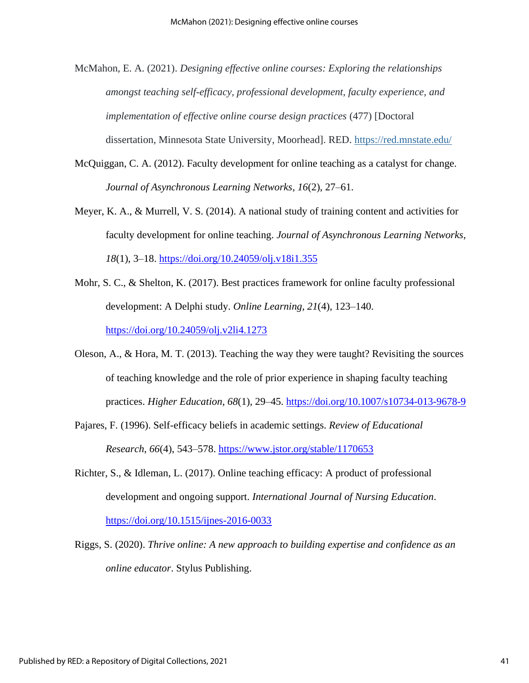McMahon, E. A. (2021). *Designing effective online courses: Exploring the relationships amongst teaching self-efficacy, professional development, faculty experience, and implementation of effective online course design practices* (477) [Doctoral dissertation, Minnesota State University, Moorhead]. RED. <https://red.mnstate.edu/>

- McQuiggan, C. A. (2012). Faculty development for online teaching as a catalyst for change. *Journal of Asynchronous Learning Networks*, *16*(2), 27–61.
- Meyer, K. A., & Murrell, V. S. (2014). A national study of training content and activities for faculty development for online teaching. *Journal of Asynchronous Learning Networks*, *18*(1), 3–18.<https://doi.org/10.24059/olj.v18i1.355>
- Mohr, S. C., & Shelton, K. (2017). Best practices framework for online faculty professional development: A Delphi study. *Online Learning*, *21*(4), 123–140. <https://doi.org/10.24059/olj.v2li4.1273>
- Oleson, A., & Hora, M. T. (2013). Teaching the way they were taught? Revisiting the sources of teaching knowledge and the role of prior experience in shaping faculty teaching practices. *Higher Education*, *68*(1), 29–45.<https://doi.org/10.1007/s10734-013-9678-9>
- Pajares, F. (1996). Self-efficacy beliefs in academic settings. *Review of Educational Research*, *66*(4), 543–578.<https://www.jstor.org/stable/1170653>
- Richter, S., & Idleman, L. (2017). Online teaching efficacy: A product of professional development and ongoing support. *International Journal of Nursing Education*. <https://doi.org/10.1515/ijnes-2016-0033>
- Riggs, S. (2020). *Thrive online: A new approach to building expertise and confidence as an online educator*. Stylus Publishing.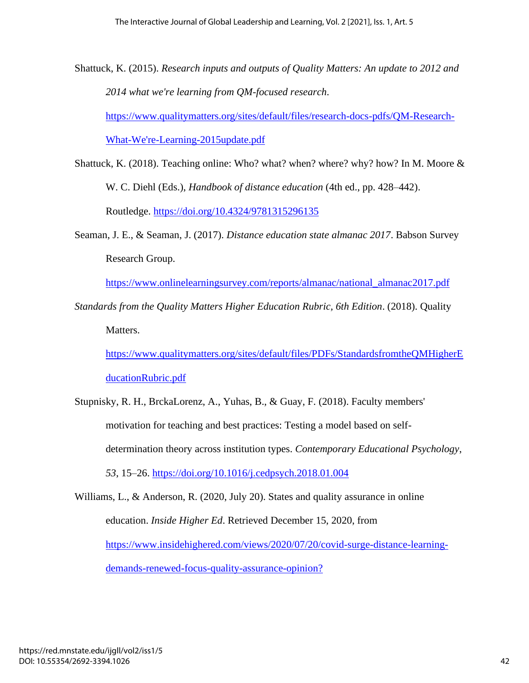Shattuck, K. (2015). *Research inputs and outputs of Quality Matters: An update to 2012 and 2014 what we're learning from QM-focused research*.

[https://www.qualitymatters.org/sites/default/files/research-docs-pdfs/QM-Research-](https://www.qualitymatters.org/sites/default/files/research-docs-pdfs/QM-Research-What-We)[What-We're-Learning-2015update.pdf](https://www.qualitymatters.org/sites/default/files/research-docs-pdfs/QM-Research-What-We)

- Shattuck, K. (2018). Teaching online: Who? what? when? where? why? how? In M. Moore & W. C. Diehl (Eds.), *Handbook of distance education* (4th ed., pp. 428–442). Routledge.<https://doi.org/10.4324/9781315296135>
- Seaman, J. E., & Seaman, J. (2017). *Distance education state almanac 2017*. Babson Survey Research Group.

[https://www.onlinelearningsurvey.com/reports/almanac/national\\_almanac2017.pdf](https://www.onlinelearningsurvey.com/reports/almanac/national_almanac2017.pdf)

*Standards from the Quality Matters Higher Education Rubric, 6th Edition*. (2018). Quality Matters.

[https://www.qualitymatters.org/sites/default/files/PDFs/StandardsfromtheQMHigherE](https://www.qualitymatters.org/sites/default/files/PDFs/StandardsfromtheQMHigherEducationRubric.pdf) [ducationRubric.pdf](https://www.qualitymatters.org/sites/default/files/PDFs/StandardsfromtheQMHigherEducationRubric.pdf)

Stupnisky, R. H., BrckaLorenz, A., Yuhas, B., & Guay, F. (2018). Faculty members' motivation for teaching and best practices: Testing a model based on selfdetermination theory across institution types. *Contemporary Educational Psychology*, *53*, 15–26.<https://doi.org/10.1016/j.cedpsych.2018.01.004>

Williams, L., & Anderson, R. (2020, July 20). States and quality assurance in online education. *Inside Higher Ed*. Retrieved December 15, 2020, from [https://www.insidehighered.com/views/2020/07/20/covid-surge-distance-learning](https://www.insidehighered.com/views/2020/07/20/covid-surge-distance-learning-demands-renewed-focus-quality-assurance-opinion?)[demands-renewed-focus-quality-assurance-opinion?](https://www.insidehighered.com/views/2020/07/20/covid-surge-distance-learning-demands-renewed-focus-quality-assurance-opinion?)